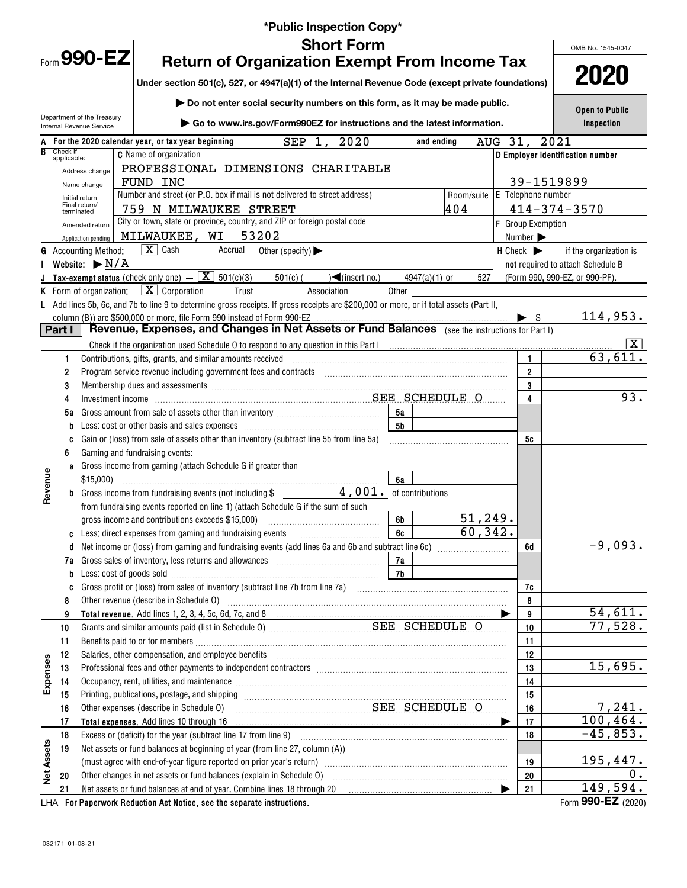|                   |                         |                                                        | *Public Inspection Copy*                                                                                                                                                                                                       |                 |                               |                                                                 |                                   |
|-------------------|-------------------------|--------------------------------------------------------|--------------------------------------------------------------------------------------------------------------------------------------------------------------------------------------------------------------------------------|-----------------|-------------------------------|-----------------------------------------------------------------|-----------------------------------|
|                   |                         |                                                        | <b>Short Form</b>                                                                                                                                                                                                              |                 |                               |                                                                 | OMB No. 1545-0047                 |
|                   |                         | Form 990-EZ                                            | <b>Return of Organization Exempt From Income Tax</b>                                                                                                                                                                           |                 |                               |                                                                 |                                   |
|                   |                         |                                                        |                                                                                                                                                                                                                                |                 |                               |                                                                 | 2020                              |
|                   |                         |                                                        | Under section 501(c), 527, or 4947(a)(1) of the Internal Revenue Code (except private foundations)                                                                                                                             |                 |                               |                                                                 |                                   |
|                   |                         |                                                        | Do not enter social security numbers on this form, as it may be made public.                                                                                                                                                   |                 |                               |                                                                 | Open to Public                    |
|                   |                         | Department of the Treasury<br>Internal Revenue Service | ▶ Go to www.irs.gov/Form990EZ for instructions and the latest information.                                                                                                                                                     |                 |                               |                                                                 | Inspection                        |
|                   |                         |                                                        | SEP 1,<br>2020<br>For the 2020 calendar year, or tax year beginning                                                                                                                                                            | and ending      |                               | AUG 31,                                                         | 2021                              |
|                   | Check if<br>applicable: |                                                        | <b>C</b> Name of organization                                                                                                                                                                                                  |                 |                               |                                                                 | D Employer identification number  |
|                   |                         | Address change                                         | PROFESSIONAL DIMENSIONS CHARITABLE                                                                                                                                                                                             |                 |                               |                                                                 |                                   |
|                   |                         | Name change                                            | FUND INC                                                                                                                                                                                                                       |                 |                               |                                                                 | 39-1519899                        |
|                   |                         | Initial return<br>Final return/                        | Number and street (or P.O. box if mail is not delivered to street address)                                                                                                                                                     |                 | Room/suite E Telephone number |                                                                 |                                   |
|                   |                         | terminated                                             | 759 N MILWAUKEE STREET<br>City or town, state or province, country, and ZIP or foreign postal code                                                                                                                             |                 | 404                           |                                                                 | $414 - 374 - 3570$                |
|                   |                         | Amended return                                         | 53202<br>MILWAUKEE, WI                                                                                                                                                                                                         |                 |                               | <b>F</b> Group Exemption                                        |                                   |
|                   |                         | Application pending<br><b>G</b> Accounting Method:     | $\sqrt{\mathbf{X}}$ Cash<br>Accrual<br>Other (specify) $\blacktriangleright$                                                                                                                                                   |                 |                               | Number $\blacktriangleright$<br>$H$ Check $\blacktriangleright$ | if the organization is            |
|                   |                         | Website: $\blacktriangleright$ N/A                     |                                                                                                                                                                                                                                |                 |                               |                                                                 | not required to attach Schedule B |
|                   |                         |                                                        | <b>J</b> Tax-exempt status (check only one) $-\boxed{\mathbf{X}}$ 501(c)(3)<br>$501(c)$ (<br>$\sqrt{\frac{2}{1}}$ (insert no.)                                                                                                 | $4947(a)(1)$ or | 527                           |                                                                 | (Form 990, 990-EZ, or 990-PF).    |
|                   |                         |                                                        | <b>K</b> Form of organization: $X \mid X$ Corporation<br>Trust<br>Association<br>Other                                                                                                                                         |                 |                               |                                                                 |                                   |
|                   |                         |                                                        | L Add lines 5b, 6c, and 7b to line 9 to determine gross receipts. If gross receipts are \$200,000 or more, or if total assets (Part II,                                                                                        |                 |                               |                                                                 |                                   |
|                   |                         |                                                        |                                                                                                                                                                                                                                |                 |                               |                                                                 | 114,953.                          |
|                   | Part I                  |                                                        |                                                                                                                                                                                                                                |                 |                               |                                                                 |                                   |
|                   |                         |                                                        |                                                                                                                                                                                                                                |                 |                               |                                                                 | $\vert X \vert$                   |
|                   | 1                       |                                                        | Contributions, gifts, grants, and similar amounts received                                                                                                                                                                     |                 |                               | $\mathbf{1}$                                                    | 63,611.                           |
|                   | 2                       |                                                        | Program service revenue including government fees and contracts [11,11] [11] non-management contracts [11] and the service revenue including government fees and contracts [11] and an increase of the service of the service  |                 |                               | $\overline{2}$                                                  |                                   |
|                   | 3                       |                                                        | Membership dues and assessments [111] Membership and assessments [11] Membership and assessments [11] Membership and assessments [11] Membership and assessments [11] Membership and assessments [11] Membership and assessmen |                 |                               | 3                                                               |                                   |
|                   | 4                       |                                                        |                                                                                                                                                                                                                                |                 |                               | 4                                                               | $\overline{93}$ .                 |
|                   | 5а                      |                                                        | 5а                                                                                                                                                                                                                             |                 |                               |                                                                 |                                   |
|                   | b                       |                                                        | 5b                                                                                                                                                                                                                             |                 |                               |                                                                 |                                   |
|                   | c<br>6                  |                                                        | Gain or (loss) from sale of assets other than inventory (subtract line 5b from line 5a)<br>Gaming and fundraising events:                                                                                                      |                 |                               | 5c                                                              |                                   |
|                   |                         |                                                        | a Gross income from gaming (attach Schedule G if greater than                                                                                                                                                                  |                 |                               |                                                                 |                                   |
| Revenue           |                         | \$15,000                                               | 6a                                                                                                                                                                                                                             |                 |                               |                                                                 |                                   |
|                   |                         |                                                        | <b>b</b> Gross income from fundraising events (not including $\frac{1}{2}$ and $\frac{1}{4}$ , 001. of contributions                                                                                                           |                 |                               |                                                                 |                                   |
|                   |                         |                                                        | from fundraising events reported on line 1) (attach Schedule G if the sum of such                                                                                                                                              |                 |                               |                                                                 |                                   |
|                   |                         |                                                        | gross income and contributions exceeds \$15,000)<br>6b                                                                                                                                                                         |                 | 51, 249.                      |                                                                 |                                   |
|                   |                         |                                                        | 6c<br>c Less: direct expenses from gaming and fundraising events                                                                                                                                                               |                 | 60, 342.                      |                                                                 |                                   |
|                   | d                       |                                                        | Net income or (loss) from gaming and fundraising events (add lines 6a and 6b and subtract line 6c) [[[[[[[[[[[                                                                                                                 |                 |                               | 6d                                                              | $-9,093.$                         |
|                   |                         |                                                        | 7а                                                                                                                                                                                                                             |                 |                               |                                                                 |                                   |
|                   | b                       |                                                        | 7b<br>Less: cost of goods sold with an annumerator and contact the cost of goods sold                                                                                                                                          |                 |                               |                                                                 |                                   |
|                   | c                       |                                                        |                                                                                                                                                                                                                                |                 |                               | 7c                                                              |                                   |
|                   | 8                       |                                                        | Other revenue (describe in Schedule O)                                                                                                                                                                                         |                 |                               | 8                                                               |                                   |
|                   | 9                       |                                                        |                                                                                                                                                                                                                                |                 |                               | 9                                                               | 54,611.                           |
|                   | 10                      |                                                        |                                                                                                                                                                                                                                |                 |                               | 10                                                              | 77,528.                           |
|                   | 11<br>12                |                                                        | Salaries, other compensation, and employee benefits [11] manufactures in the contraction of the compensation, and employee benefits [11] manufactures in the compensation of the contraction of the contraction of the contrac |                 |                               | 11<br>12                                                        |                                   |
|                   | 13                      |                                                        |                                                                                                                                                                                                                                |                 |                               | 13                                                              | 15,695.                           |
| Expenses          | 14                      |                                                        | Occupancy, rent, utilities, and maintenance material contains and an analyzing of the material contains and maintenance material contains and maintenance material contains and maintenance material contains and material con |                 |                               | 14                                                              |                                   |
|                   | 15                      |                                                        | Printing, publications, postage, and shipping manufactured and contain and state and state and state and state                                                                                                                 |                 |                               | 15                                                              |                                   |
|                   | 16                      |                                                        | SEE SCHEDULE O<br>Other expenses (describe in Schedule O)                                                                                                                                                                      |                 |                               | 16                                                              | 7,241.                            |
|                   | 17                      |                                                        | Total expenses. Add lines 10 through 16                                                                                                                                                                                        |                 |                               | 17                                                              | 100,464.                          |
|                   | 18                      |                                                        |                                                                                                                                                                                                                                |                 |                               | 18                                                              | $-45,853.$                        |
|                   | 19                      |                                                        | Net assets or fund balances at beginning of year (from line 27, column (A))                                                                                                                                                    |                 |                               |                                                                 |                                   |
|                   |                         |                                                        | (must agree with end-of-year figure reported on prior year's return) [[[[[[[[[[[[[[[[[[[[]]]]]]]]]]]                                                                                                                           |                 |                               | 19                                                              | 195,447.                          |
| <b>Net Assets</b> | 20                      |                                                        | Other changes in net assets or fund balances (explain in Schedule O)                                                                                                                                                           |                 |                               | 20                                                              | 0.                                |
|                   | 21                      |                                                        | Net assets or fund balances at end of year. Combine lines 18 through 20                                                                                                                                                        |                 |                               | 21                                                              | 149,594.                          |
|                   |                         |                                                        | LHA For Paperwork Reduction Act Notice, see the separate instructions.                                                                                                                                                         |                 |                               |                                                                 | Form 990-EZ (2020)                |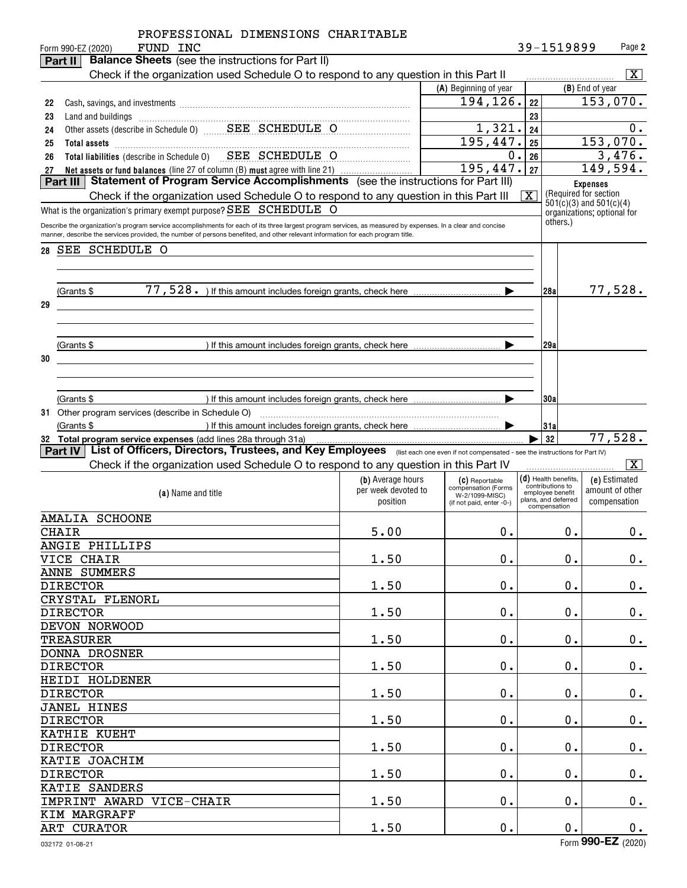|    |                 | PROFESSIONAL DIMENSIONS CHARITABLE<br>FUND INC<br>Form 990-EZ (2020)                                                                                        |                                 |                                       |    | 39-1519899                                           |                 | Page 2                          |
|----|-----------------|-------------------------------------------------------------------------------------------------------------------------------------------------------------|---------------------------------|---------------------------------------|----|------------------------------------------------------|-----------------|---------------------------------|
|    | Part II         | <b>Balance Sheets</b> (see the instructions for Part II)                                                                                                    |                                 |                                       |    |                                                      |                 |                                 |
|    |                 | Check if the organization used Schedule O to respond to any question in this Part II                                                                        |                                 |                                       |    |                                                      |                 | - X                             |
|    |                 |                                                                                                                                                             |                                 | (A) Beginning of year                 |    |                                                      | (B) End of year |                                 |
| 22 |                 |                                                                                                                                                             |                                 | 194, 126.                             | 22 |                                                      |                 | 153,070.                        |
| 23 |                 |                                                                                                                                                             |                                 |                                       | 23 |                                                      |                 |                                 |
| 24 |                 | Other assets (describe in Schedule 0) _______ SEE__ SCHEDULE__O                                                                                             |                                 | 1,321.                                | 24 |                                                      |                 | 0.                              |
| 25 |                 |                                                                                                                                                             |                                 | 195,447.                              | 25 |                                                      |                 | 153,070.                        |
| 26 |                 | Total liabilities (describe in Schedule 0) SEE SCHEDULE O                                                                                                   |                                 | 0.                                    | 26 |                                                      |                 | 3,476.                          |
| 27 |                 | Net assets or fund balances (line 27 of column (B) must agree with line 21)                                                                                 |                                 | 195,447.                              | 27 |                                                      |                 | 149,594.                        |
|    | Part III        | Statement of Program Service Accomplishments (see the instructions for Part III)                                                                            |                                 |                                       |    |                                                      | <b>Expenses</b> |                                 |
|    |                 | Check if the organization used Schedule O to respond to any question in this Part III                                                                       |                                 |                                       | x  | (Required for section<br>$501(c)(3)$ and $501(c)(4)$ |                 |                                 |
|    |                 | What is the organization's primary exempt purpose? SEE SCHEDULE O                                                                                           |                                 |                                       |    | organizations; optional for                          |                 |                                 |
|    |                 | Describe the organization's program service accomplishments for each of its three largest program services, as measured by expenses. In a clear and concise |                                 |                                       |    | others.)                                             |                 |                                 |
|    |                 | manner, describe the services provided, the number of persons benefited, and other relevant information for each program title.                             |                                 |                                       |    |                                                      |                 |                                 |
| 28 |                 | SEE SCHEDULE O                                                                                                                                              |                                 |                                       |    |                                                      |                 |                                 |
|    |                 |                                                                                                                                                             |                                 |                                       |    |                                                      |                 |                                 |
|    |                 |                                                                                                                                                             |                                 |                                       |    |                                                      |                 |                                 |
|    | (Grants \$      |                                                                                                                                                             |                                 |                                       |    | 128a                                                 |                 | 77,528.                         |
| 29 |                 |                                                                                                                                                             |                                 |                                       |    |                                                      |                 |                                 |
|    |                 |                                                                                                                                                             |                                 |                                       |    |                                                      |                 |                                 |
|    |                 |                                                                                                                                                             |                                 |                                       |    |                                                      |                 |                                 |
|    | (Grants \$      | ) If this amount includes foreign grants, check here $\ldots$ $\ldots$ $\ldots$ $\ldots$                                                                    |                                 |                                       |    | 129a                                                 |                 |                                 |
| 30 |                 |                                                                                                                                                             |                                 |                                       |    |                                                      |                 |                                 |
|    |                 |                                                                                                                                                             |                                 |                                       |    |                                                      |                 |                                 |
|    |                 |                                                                                                                                                             |                                 |                                       |    |                                                      |                 |                                 |
|    | (Grants \$      |                                                                                                                                                             |                                 |                                       |    | 130a                                                 |                 |                                 |
|    |                 |                                                                                                                                                             |                                 |                                       |    |                                                      |                 |                                 |
|    | (Grants \$      |                                                                                                                                                             |                                 |                                       |    | 31a                                                  |                 |                                 |
|    |                 | 32 Total program service expenses (add lines 28a through 31a)                                                                                               |                                 |                                       |    | 32                                                   |                 | 77,528.                         |
|    | Part IV         | List of Officers, Directors, Trustees, and Key Employees (list each one even if not compensated - see the instructions for Part IV)                         |                                 |                                       |    |                                                      |                 |                                 |
|    |                 | Check if the organization used Schedule O to respond to any question in this Part IV                                                                        |                                 |                                       |    |                                                      |                 | x                               |
|    |                 |                                                                                                                                                             | (b) Average hours               | (C) Reportable<br>compensation (Forms |    | $(d)$ Health benefits.<br>contributions to           |                 | (e) Estimated                   |
|    |                 | (a) Name and title                                                                                                                                          | per week devoted to<br>position | W-2/1099-MISC)                        |    | employee benefit<br>plans, and deferred              |                 | amount of other<br>compensation |
|    |                 |                                                                                                                                                             |                                 | (if not paid, enter -0-)              |    | compensation                                         |                 |                                 |
|    |                 | <b>AMALIA SCHOONE</b>                                                                                                                                       |                                 |                                       |    |                                                      |                 |                                 |
|    | <b>CHAIR</b>    |                                                                                                                                                             | 5.00                            | $0$ .                                 |    | 0.                                                   |                 | 0.                              |
|    |                 | ANGIE PHILLIPS                                                                                                                                              |                                 |                                       |    |                                                      |                 |                                 |
|    |                 | VICE CHAIR                                                                                                                                                  | 1.50                            | $0$ .                                 |    | 0.                                                   |                 | $0_{.}$                         |
|    |                 | <b>ANNE SUMMERS</b>                                                                                                                                         |                                 |                                       |    |                                                      |                 |                                 |
|    | <b>DIRECTOR</b> |                                                                                                                                                             | 1.50                            | 0.                                    |    | 0.                                                   |                 | 0.                              |
|    |                 | CRYSTAL FLENORL                                                                                                                                             |                                 |                                       |    |                                                      |                 |                                 |
|    | <b>DIRECTOR</b> |                                                                                                                                                             | 1.50                            | 0.                                    |    | 0.                                                   |                 | 0.                              |
|    |                 | DEVON NORWOOD                                                                                                                                               |                                 |                                       |    |                                                      |                 |                                 |
|    |                 | <b>TREASURER</b>                                                                                                                                            | 1.50                            | 0.                                    |    | 0.                                                   |                 | 0.                              |
|    |                 | DONNA DROSNER                                                                                                                                               |                                 |                                       |    |                                                      |                 |                                 |
|    | <b>DIRECTOR</b> |                                                                                                                                                             | 1.50                            | $0$ .                                 |    | 0.                                                   |                 | 0.                              |
|    |                 | HEIDI HOLDENER                                                                                                                                              |                                 |                                       |    |                                                      |                 |                                 |
|    | <b>DIRECTOR</b> |                                                                                                                                                             | 1.50                            | 0.                                    |    | 0.                                                   |                 | 0.                              |
|    |                 | <b>JANEL HINES</b>                                                                                                                                          |                                 |                                       |    |                                                      |                 |                                 |
|    | <b>DIRECTOR</b> |                                                                                                                                                             | 1.50                            | 0.                                    |    | 0.                                                   |                 | 0.                              |
|    |                 | KATHIE KUEHT                                                                                                                                                |                                 |                                       |    |                                                      |                 |                                 |
|    | <b>DIRECTOR</b> |                                                                                                                                                             | 1.50                            | 0.                                    |    | 0.                                                   |                 | 0.                              |
|    |                 | KATIE JOACHIM                                                                                                                                               |                                 |                                       |    |                                                      |                 |                                 |
|    | <b>DIRECTOR</b> |                                                                                                                                                             | 1.50                            | 0.                                    |    | 0.                                                   |                 | $0_{.}$                         |
|    |                 | KATIE SANDERS                                                                                                                                               |                                 |                                       |    |                                                      |                 |                                 |
|    |                 | IMPRINT AWARD VICE-CHAIR                                                                                                                                    | 1.50                            | $0$ .                                 |    | 0.                                                   |                 | $0_{.}$                         |
|    |                 | KIM MARGRAFF                                                                                                                                                |                                 |                                       |    |                                                      |                 |                                 |
|    |                 | ART CURATOR                                                                                                                                                 | 1.50                            | $0$ .                                 |    | 0.                                                   |                 | 0.                              |
|    |                 |                                                                                                                                                             |                                 |                                       |    |                                                      | 000E7           |                                 |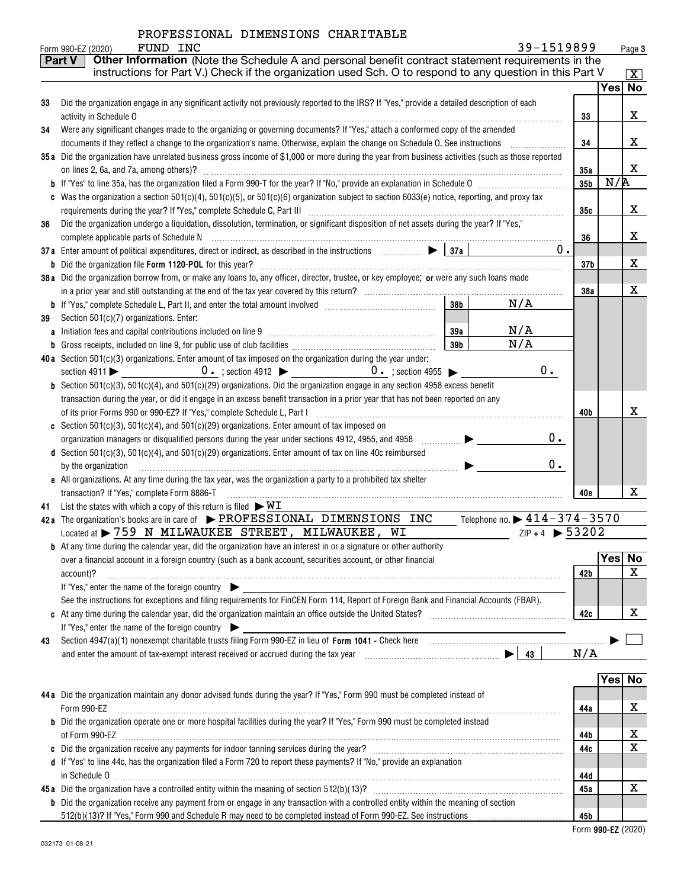| PROFESSIONAL DIMENSIONS CHARITABLE |  |  |  |
|------------------------------------|--|--|--|
|------------------------------------|--|--|--|

|    | 39-1519899<br>FUND INC<br>Form 990-EZ (2020)                                                                                                                                                                                                  |                 |         | Page 3              |
|----|-----------------------------------------------------------------------------------------------------------------------------------------------------------------------------------------------------------------------------------------------|-----------------|---------|---------------------|
|    | Other Information (Note the Schedule A and personal benefit contract statement requirements in the<br><b>Part V</b>                                                                                                                           |                 |         |                     |
|    | instructions for Part V.) Check if the organization used Sch. O to respond to any question in this Part V                                                                                                                                     |                 |         | $\lfloor x \rfloor$ |
|    |                                                                                                                                                                                                                                               |                 | Yesl No |                     |
| 33 | Did the organization engage in any significant activity not previously reported to the IRS? If "Yes," provide a detailed description of each                                                                                                  |                 |         |                     |
|    | activity in Schedule O                                                                                                                                                                                                                        | 33              |         | x                   |
| 34 | Were any significant changes made to the organizing or governing documents? If "Yes," attach a conformed copy of the amended                                                                                                                  |                 |         |                     |
|    | documents if they reflect a change to the organization's name. Otherwise, explain the change on Schedule O. See instructions                                                                                                                  | 34              |         | x                   |
|    | 35a Did the organization have unrelated business gross income of \$1,000 or more during the year from business activities (such as those reported                                                                                             |                 |         | x                   |
|    | on lines 2, 6a, and 7a, among others)?                                                                                                                                                                                                        | 35a<br>35b      | N/R     |                     |
|    | c Was the organization a section $501(c)(4)$ , $501(c)(5)$ , or $501(c)(6)$ organization subject to section $6033(e)$ notice, reporting, and proxy tax                                                                                        |                 |         |                     |
|    |                                                                                                                                                                                                                                               | 35с             |         | x                   |
| 36 | Did the organization undergo a liquidation, dissolution, termination, or significant disposition of net assets during the year? If "Yes,"                                                                                                     |                 |         |                     |
|    |                                                                                                                                                                                                                                               | 36              |         | х                   |
|    | 37a Enter amount of political expenditures, direct or indirect, as described in the instructions $\Box$ $\Box$ 37a<br>0.                                                                                                                      |                 |         |                     |
|    |                                                                                                                                                                                                                                               | 37 <sub>b</sub> |         | х                   |
|    | 38a Did the organization borrow from, or make any loans to, any officer, director, trustee, or key employee; or were any such loans made                                                                                                      |                 |         |                     |
|    |                                                                                                                                                                                                                                               | 38a             |         | х                   |
|    | 38 <sub>b</sub><br>N/A                                                                                                                                                                                                                        |                 |         |                     |
| 39 | Section 501(c)(7) organizations. Enter:                                                                                                                                                                                                       |                 |         |                     |
|    | N/A<br>39a                                                                                                                                                                                                                                    |                 |         |                     |
|    | N/A<br>39b                                                                                                                                                                                                                                    |                 |         |                     |
|    | 40a Section $501(c)(3)$ organizations. Enter amount of tax imposed on the organization during the year under:<br>0.                                                                                                                           |                 |         |                     |
|    | section 4911 $\triangleright$ 0. ; section 4912 $\triangleright$ 0. ; section 4955 $\triangleright$<br><b>b</b> Section 501(c)(3), 501(c)(4), and 501(c)(29) organizations. Did the organization engage in any section 4958 excess benefit    |                 |         |                     |
|    | transaction during the year, or did it engage in an excess benefit transaction in a prior year that has not been reported on any                                                                                                              |                 |         |                     |
|    | of its prior Forms 990 or 990-EZ? If "Yes," complete Schedule L, Part I                                                                                                                                                                       | 40b             |         | х                   |
|    | c Section 501(c)(3), 501(c)(4), and 501(c)(29) organizations. Enter amount of tax imposed on                                                                                                                                                  |                 |         |                     |
|    | 0.<br>organization managers or disqualified persons during the year under sections 4912, 4955, and 4958<br>.                                                                                                                                  |                 |         |                     |
|    | d Section 501(c)(3), 501(c)(4), and 501(c)(29) organizations. Enter amount of tax on line 40c reimbursed                                                                                                                                      |                 |         |                     |
|    | 0.<br>by the organization                                                                                                                                                                                                                     |                 |         |                     |
|    | e All organizations. At any time during the tax year, was the organization a party to a prohibited tax shelter                                                                                                                                |                 |         |                     |
|    | transaction? If "Yes," complete Form 8886-T                                                                                                                                                                                                   | 40e             |         | x                   |
| 41 | List the states with which a copy of this return is filed $\triangleright \texttt{WL}$                                                                                                                                                        |                 |         |                     |
|    | 42a The organization's books are in care of $\blacktriangleright$ PROFESSIONAL DIMENSIONS INC<br>Telephone no. $\triangleright$ 414 - 374 - 3570<br>Located at > 759 N MILWAUKEE STREET, MILWAUKEE,<br>$ZIP + 4$ $\triangleright$ 53202<br>WI |                 |         |                     |
|    | <b>b</b> At any time during the calendar year, did the organization have an interest in or a signature or other authority                                                                                                                     |                 |         |                     |
|    | over a financial account in a foreign country (such as a bank account, securities account, or other financial                                                                                                                                 |                 | Yes     | No                  |
|    | account)?                                                                                                                                                                                                                                     | 42b             |         | X                   |
|    | If "Yes," enter the name of the foreign country                                                                                                                                                                                               |                 |         |                     |
|    | See the instructions for exceptions and filing requirements for FinCEN Form 114, Report of Foreign Bank and Financial Accounts (FBAR).                                                                                                        |                 |         |                     |
|    |                                                                                                                                                                                                                                               | 42c             |         | x                   |
|    | If "Yes," enter the name of the foreign country $\blacktriangleright$                                                                                                                                                                         |                 |         |                     |
| 43 |                                                                                                                                                                                                                                               |                 |         |                     |
|    |                                                                                                                                                                                                                                               | N/A             |         |                     |
|    |                                                                                                                                                                                                                                               |                 |         |                     |
|    |                                                                                                                                                                                                                                               |                 | Yes No  |                     |
|    | 44a Did the organization maintain any donor advised funds during the year? If "Yes," Form 990 must be completed instead of                                                                                                                    |                 |         | х                   |
|    | Form 990-EZ<br><b>b</b> Did the organization operate one or more hospital facilities during the year? If "Yes," Form 990 must be completed instead                                                                                            | 44a             |         |                     |
|    |                                                                                                                                                                                                                                               | 44b             |         | x                   |
|    |                                                                                                                                                                                                                                               | 44c             |         | X                   |
|    | d If "Yes" to line 44c, has the organization filed a Form 720 to report these payments? If "No," provide an explanation                                                                                                                       |                 |         |                     |
|    |                                                                                                                                                                                                                                               | 44d             |         |                     |
|    |                                                                                                                                                                                                                                               | 45a             |         | X                   |
|    | <b>b</b> Did the organization receive any payment from or engage in any transaction with a controlled entity within the meaning of section                                                                                                    |                 |         |                     |
|    |                                                                                                                                                                                                                                               | 45b             |         |                     |

 **990-EZ** Form (2020)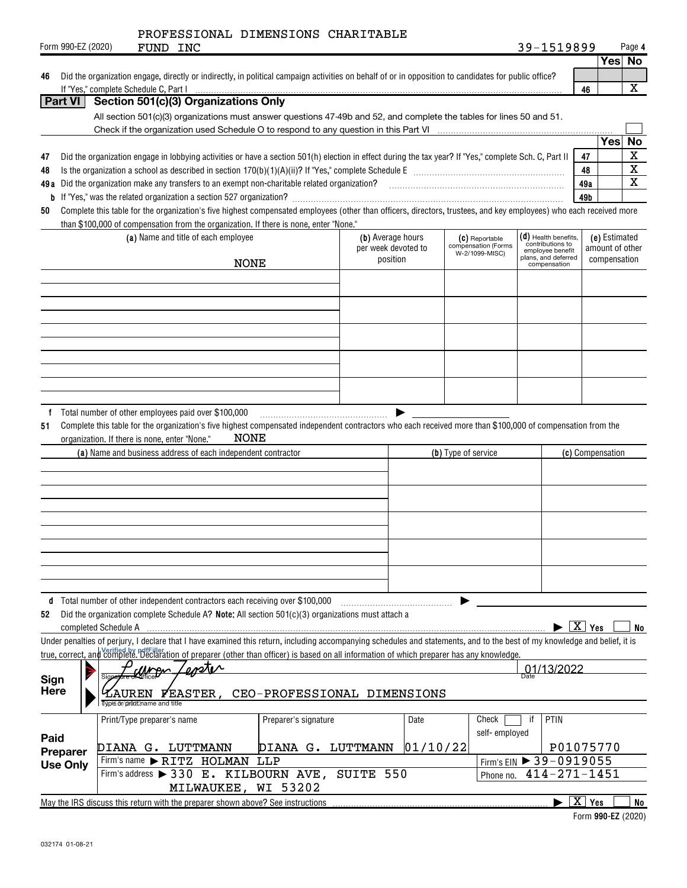|                     |                      | PROFESSIONAL DIMENSIONS CHARITABLE                                                                                                                                                                                                                                                                                                         |                             |                                 |          |                     |                                       |                                            |                          |                                 |              |
|---------------------|----------------------|--------------------------------------------------------------------------------------------------------------------------------------------------------------------------------------------------------------------------------------------------------------------------------------------------------------------------------------------|-----------------------------|---------------------------------|----------|---------------------|---------------------------------------|--------------------------------------------|--------------------------|---------------------------------|--------------|
|                     | Form 990-EZ (2020)   | FUND INC                                                                                                                                                                                                                                                                                                                                   |                             |                                 |          |                     |                                       | 39-1519899                                 |                          | Yes No                          | Page 4       |
|                     |                      | Did the organization engage, directly or indirectly, in political campaign activities on behalf of or in opposition to candidates for public office?                                                                                                                                                                                       |                             |                                 |          |                     |                                       |                                            |                          |                                 |              |
| 46                  |                      | If "Yes," complete Schedule C, Part I                                                                                                                                                                                                                                                                                                      |                             |                                 |          |                     |                                       |                                            | 46                       |                                 | $\mathbf{x}$ |
|                     | <b>Part VI</b>       | Section 501(c)(3) Organizations Only                                                                                                                                                                                                                                                                                                       |                             |                                 |          |                     |                                       |                                            |                          |                                 |              |
|                     |                      | All section 501(c)(3) organizations must answer questions 47-49b and 52, and complete the tables for lines 50 and 51.                                                                                                                                                                                                                      |                             |                                 |          |                     |                                       |                                            |                          |                                 |              |
|                     |                      |                                                                                                                                                                                                                                                                                                                                            |                             |                                 |          |                     |                                       |                                            |                          |                                 |              |
|                     |                      |                                                                                                                                                                                                                                                                                                                                            |                             |                                 |          |                     |                                       |                                            |                          | Yes                             | No           |
| 47                  |                      | Did the organization engage in lobbying activities or have a section 501(h) election in effect during the tax year? If "Yes," complete Sch. C, Part II                                                                                                                                                                                     |                             |                                 |          |                     |                                       |                                            | 47                       |                                 | $\mathbf X$  |
| 48                  |                      |                                                                                                                                                                                                                                                                                                                                            |                             |                                 |          |                     |                                       |                                            | 48                       |                                 | $\mathbf x$  |
|                     |                      | 49a Did the organization make any transfers to an exempt non-charitable related organization?<br>2010 marrow material or matterial material material material material material material material material material material mat                                                                                                           |                             |                                 |          |                     |                                       |                                            | 49a                      |                                 | X            |
|                     |                      |                                                                                                                                                                                                                                                                                                                                            |                             |                                 |          |                     |                                       |                                            | 49b                      |                                 |              |
| 50                  |                      | Complete this table for the organization's five highest compensated employees (other than officers, directors, trustees, and key employees) who each received more                                                                                                                                                                         |                             |                                 |          |                     |                                       |                                            |                          |                                 |              |
|                     |                      | than \$100,000 of compensation from the organization. If there is none, enter "None."                                                                                                                                                                                                                                                      |                             |                                 |          |                     |                                       |                                            |                          |                                 |              |
|                     |                      | (a) Name and title of each employee                                                                                                                                                                                                                                                                                                        |                             | (b) Average hours               |          |                     | (C) Reportable<br>compensation (Forms | $(d)$ Health benefits,<br>contributions to |                          | (e) Estimated                   |              |
|                     |                      |                                                                                                                                                                                                                                                                                                                                            |                             | per week devoted to<br>position |          |                     | W-2/1099-MISC)                        | employee benefit<br>plans, and deferred    |                          | amount of other<br>compensation |              |
|                     |                      | NONE                                                                                                                                                                                                                                                                                                                                       |                             |                                 |          |                     |                                       | compensation                               |                          |                                 |              |
|                     |                      |                                                                                                                                                                                                                                                                                                                                            |                             |                                 |          |                     |                                       |                                            |                          |                                 |              |
|                     |                      |                                                                                                                                                                                                                                                                                                                                            |                             |                                 |          |                     |                                       |                                            |                          |                                 |              |
|                     |                      |                                                                                                                                                                                                                                                                                                                                            |                             |                                 |          |                     |                                       |                                            |                          |                                 |              |
|                     |                      |                                                                                                                                                                                                                                                                                                                                            |                             |                                 |          |                     |                                       |                                            |                          |                                 |              |
|                     |                      |                                                                                                                                                                                                                                                                                                                                            |                             |                                 |          |                     |                                       |                                            |                          |                                 |              |
|                     |                      |                                                                                                                                                                                                                                                                                                                                            |                             |                                 |          |                     |                                       |                                            |                          |                                 |              |
|                     |                      |                                                                                                                                                                                                                                                                                                                                            |                             |                                 |          |                     |                                       |                                            |                          |                                 |              |
|                     |                      |                                                                                                                                                                                                                                                                                                                                            |                             |                                 |          |                     |                                       |                                            |                          |                                 |              |
|                     |                      |                                                                                                                                                                                                                                                                                                                                            |                             |                                 |          |                     |                                       |                                            |                          |                                 |              |
| 51                  |                      | Total number of other employees paid over \$100,000<br>Complete this table for the organization's five highest compensated independent contractors who each received more than \$100,000 of compensation from the<br>NONE<br>organization. If there is none, enter "None."<br>(a) Name and business address of each independent contractor |                             |                                 |          | (b) Type of service |                                       |                                            |                          | (c) Compensation                |              |
|                     |                      |                                                                                                                                                                                                                                                                                                                                            |                             |                                 |          |                     |                                       |                                            |                          |                                 |              |
|                     |                      |                                                                                                                                                                                                                                                                                                                                            |                             |                                 |          |                     |                                       |                                            |                          |                                 |              |
|                     |                      |                                                                                                                                                                                                                                                                                                                                            |                             |                                 |          |                     |                                       |                                            |                          |                                 |              |
|                     |                      |                                                                                                                                                                                                                                                                                                                                            |                             |                                 |          |                     |                                       |                                            |                          |                                 |              |
|                     |                      |                                                                                                                                                                                                                                                                                                                                            |                             |                                 |          |                     |                                       |                                            |                          |                                 |              |
|                     |                      |                                                                                                                                                                                                                                                                                                                                            |                             |                                 |          |                     |                                       |                                            |                          |                                 |              |
|                     |                      |                                                                                                                                                                                                                                                                                                                                            |                             |                                 |          |                     |                                       |                                            |                          |                                 |              |
|                     |                      |                                                                                                                                                                                                                                                                                                                                            |                             |                                 |          |                     |                                       |                                            |                          |                                 |              |
|                     |                      |                                                                                                                                                                                                                                                                                                                                            |                             |                                 |          |                     |                                       |                                            |                          |                                 |              |
|                     |                      |                                                                                                                                                                                                                                                                                                                                            |                             |                                 |          |                     |                                       |                                            |                          |                                 |              |
|                     |                      | Total number of other independent contractors each receiving over \$100,000                                                                                                                                                                                                                                                                |                             |                                 |          |                     |                                       |                                            |                          |                                 |              |
| 52                  |                      | Did the organization complete Schedule A? Note: All section 501(c)(3) organizations must attach a                                                                                                                                                                                                                                          |                             |                                 |          |                     |                                       |                                            |                          |                                 |              |
|                     | completed Schedule A |                                                                                                                                                                                                                                                                                                                                            |                             |                                 |          |                     |                                       |                                            | $\boxed{\mathbf{X}}$ Yes |                                 | No           |
|                     |                      | Under penalties of perjury, I declare that I have examined this return, including accompanying schedules and statements, and to the best of my knowledge and belief, it is<br>true, correct, and complete. Declaration of preparer (other than officer) is based on all information of which preparer has any knowledge.                   |                             |                                 |          |                     |                                       |                                            |                          |                                 |              |
|                     | P                    | $\omega$<br>$n_{M}$                                                                                                                                                                                                                                                                                                                        |                             |                                 |          |                     |                                       | 01/13/2022                                 |                          |                                 |              |
| Sign<br><b>Here</b> |                      | <b>FEASTER</b>                                                                                                                                                                                                                                                                                                                             | CEO-PROFESSIONAL DIMENSIONS |                                 |          |                     |                                       |                                            |                          |                                 |              |
|                     |                      | Two'e or/print name and title                                                                                                                                                                                                                                                                                                              |                             |                                 |          |                     |                                       |                                            |                          |                                 |              |
|                     |                      | Print/Type preparer's name                                                                                                                                                                                                                                                                                                                 | Preparer's signature        |                                 | Date     |                     | Check                                 | PTIN<br>if                                 |                          |                                 |              |
| Paid                |                      |                                                                                                                                                                                                                                                                                                                                            |                             |                                 |          |                     | self-employed                         |                                            |                          |                                 |              |
|                     | Preparer             | DIANA G. LUTTMANN                                                                                                                                                                                                                                                                                                                          | DIANA G. LUTTMANN           |                                 | 01/10/22 |                     |                                       |                                            |                          | P01075770                       |              |
|                     | <b>Use Only</b>      | Firm's name RITZ HOLMAN                                                                                                                                                                                                                                                                                                                    | LLP                         |                                 |          |                     |                                       | Firm's EIN > 39-0919055                    |                          |                                 |              |
|                     |                      | Firm's address ▶ 330 E. KILBOURN AVE, SUITE 550                                                                                                                                                                                                                                                                                            |                             |                                 |          |                     | Phone no.                             | $414 - 271 - 1451$                         |                          |                                 |              |

→ 230 E. KILBOURN AVE, SUITE 550<br>→ 330 E. KILBOURN AVE, SUITE 550

MILWAUKEE, WI 53202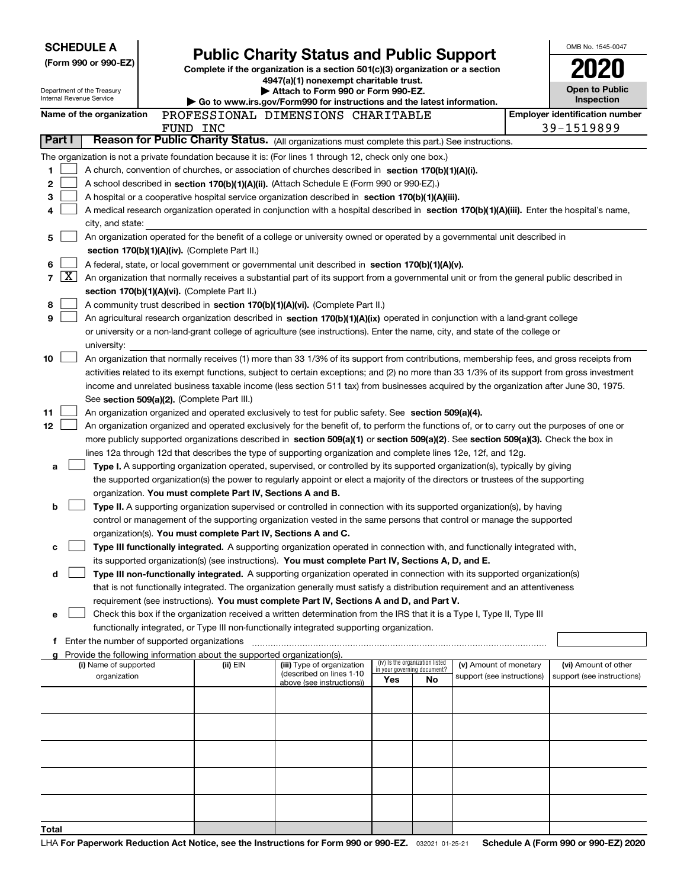|                          | <b>SCHEDULE A</b>                           |                                                                        | <b>Public Charity Status and Public Support</b>                                                                                                                                                                      |     |                                                                |                            | OMB No. 1545-0047                     |
|--------------------------|---------------------------------------------|------------------------------------------------------------------------|----------------------------------------------------------------------------------------------------------------------------------------------------------------------------------------------------------------------|-----|----------------------------------------------------------------|----------------------------|---------------------------------------|
|                          | (Form 990 or 990-EZ)                        |                                                                        | Complete if the organization is a section 501(c)(3) organization or a section                                                                                                                                        |     |                                                                |                            |                                       |
|                          |                                             |                                                                        | 4947(a)(1) nonexempt charitable trust.                                                                                                                                                                               |     |                                                                |                            |                                       |
| Internal Revenue Service | Department of the Treasury                  |                                                                        | Attach to Form 990 or Form 990-EZ.<br>Go to www.irs.gov/Form990 for instructions and the latest information.                                                                                                         |     |                                                                |                            | Open to Public<br>Inspection          |
|                          | Name of the organization                    |                                                                        | PROFESSIONAL DIMENSIONS CHARITABLE                                                                                                                                                                                   |     |                                                                |                            | <b>Employer identification number</b> |
|                          |                                             | FUND INC                                                               |                                                                                                                                                                                                                      |     |                                                                |                            | 39-1519899                            |
| Part I                   |                                             |                                                                        | Reason for Public Charity Status. (All organizations must complete this part.) See instructions.                                                                                                                     |     |                                                                |                            |                                       |
|                          |                                             |                                                                        | The organization is not a private foundation because it is: (For lines 1 through 12, check only one box.)                                                                                                            |     |                                                                |                            |                                       |
| 1                        |                                             |                                                                        | A church, convention of churches, or association of churches described in section 170(b)(1)(A)(i).                                                                                                                   |     |                                                                |                            |                                       |
| 2                        |                                             |                                                                        | A school described in section 170(b)(1)(A)(ii). (Attach Schedule E (Form 990 or 990-EZ).)                                                                                                                            |     |                                                                |                            |                                       |
| з                        |                                             |                                                                        | A hospital or a cooperative hospital service organization described in section 170(b)(1)(A)(iii).                                                                                                                    |     |                                                                |                            |                                       |
| 4                        |                                             |                                                                        | A medical research organization operated in conjunction with a hospital described in section 170(b)(1)(A)(iii). Enter the hospital's name,                                                                           |     |                                                                |                            |                                       |
| 5                        | city, and state:                            |                                                                        | An organization operated for the benefit of a college or university owned or operated by a governmental unit described in                                                                                            |     |                                                                |                            |                                       |
|                          |                                             | section 170(b)(1)(A)(iv). (Complete Part II.)                          |                                                                                                                                                                                                                      |     |                                                                |                            |                                       |
| 6                        |                                             |                                                                        | A federal, state, or local government or governmental unit described in section 170(b)(1)(A)(v).                                                                                                                     |     |                                                                |                            |                                       |
| <u>x</u><br>7            |                                             |                                                                        | An organization that normally receives a substantial part of its support from a governmental unit or from the general public described in                                                                            |     |                                                                |                            |                                       |
|                          |                                             | section 170(b)(1)(A)(vi). (Complete Part II.)                          |                                                                                                                                                                                                                      |     |                                                                |                            |                                       |
| 8                        |                                             |                                                                        | A community trust described in section 170(b)(1)(A)(vi). (Complete Part II.)                                                                                                                                         |     |                                                                |                            |                                       |
| 9                        |                                             |                                                                        | An agricultural research organization described in section 170(b)(1)(A)(ix) operated in conjunction with a land-grant college                                                                                        |     |                                                                |                            |                                       |
|                          |                                             |                                                                        | or university or a non-land-grant college of agriculture (see instructions). Enter the name, city, and state of the college or                                                                                       |     |                                                                |                            |                                       |
| 10                       | university:                                 |                                                                        | An organization that normally receives (1) more than 33 1/3% of its support from contributions, membership fees, and gross receipts from                                                                             |     |                                                                |                            |                                       |
|                          |                                             |                                                                        | activities related to its exempt functions, subject to certain exceptions; and (2) no more than 33 1/3% of its support from gross investment                                                                         |     |                                                                |                            |                                       |
|                          |                                             |                                                                        | income and unrelated business taxable income (less section 511 tax) from businesses acquired by the organization after June 30, 1975.                                                                                |     |                                                                |                            |                                       |
|                          |                                             | See section 509(a)(2). (Complete Part III.)                            |                                                                                                                                                                                                                      |     |                                                                |                            |                                       |
| 11                       |                                             |                                                                        | An organization organized and operated exclusively to test for public safety. See section 509(a)(4).                                                                                                                 |     |                                                                |                            |                                       |
| 12 <sub>2</sub>          |                                             |                                                                        | An organization organized and operated exclusively for the benefit of, to perform the functions of, or to carry out the purposes of one or                                                                           |     |                                                                |                            |                                       |
|                          |                                             |                                                                        | more publicly supported organizations described in section 509(a)(1) or section 509(a)(2). See section 509(a)(3). Check the box in                                                                                   |     |                                                                |                            |                                       |
|                          |                                             |                                                                        | lines 12a through 12d that describes the type of supporting organization and complete lines 12e, 12f, and 12g.                                                                                                       |     |                                                                |                            |                                       |
| а                        |                                             |                                                                        | Type I. A supporting organization operated, supervised, or controlled by its supported organization(s), typically by giving                                                                                          |     |                                                                |                            |                                       |
|                          |                                             | organization. You must complete Part IV, Sections A and B.             | the supported organization(s) the power to regularly appoint or elect a majority of the directors or trustees of the supporting                                                                                      |     |                                                                |                            |                                       |
| b                        |                                             |                                                                        | Type II. A supporting organization supervised or controlled in connection with its supported organization(s), by having                                                                                              |     |                                                                |                            |                                       |
|                          |                                             |                                                                        | control or management of the supporting organization vested in the same persons that control or manage the supported                                                                                                 |     |                                                                |                            |                                       |
|                          |                                             |                                                                        | organization(s). You must complete Part IV, Sections A and C.                                                                                                                                                        |     |                                                                |                            |                                       |
| с                        |                                             |                                                                        | Type III functionally integrated. A supporting organization operated in connection with, and functionally integrated with,                                                                                           |     |                                                                |                            |                                       |
|                          |                                             |                                                                        | its supported organization(s) (see instructions). You must complete Part IV, Sections A, D, and E.                                                                                                                   |     |                                                                |                            |                                       |
| d                        |                                             |                                                                        | Type III non-functionally integrated. A supporting organization operated in connection with its supported organization(s)                                                                                            |     |                                                                |                            |                                       |
|                          |                                             |                                                                        | that is not functionally integrated. The organization generally must satisfy a distribution requirement and an attentiveness                                                                                         |     |                                                                |                            |                                       |
|                          |                                             |                                                                        | requirement (see instructions). You must complete Part IV, Sections A and D, and Part V.                                                                                                                             |     |                                                                |                            |                                       |
| е                        |                                             |                                                                        | Check this box if the organization received a written determination from the IRS that it is a Type I, Type II, Type III<br>functionally integrated, or Type III non-functionally integrated supporting organization. |     |                                                                |                            |                                       |
| f                        | Enter the number of supported organizations |                                                                        |                                                                                                                                                                                                                      |     |                                                                |                            |                                       |
|                          |                                             | Provide the following information about the supported organization(s). |                                                                                                                                                                                                                      |     |                                                                |                            |                                       |
|                          | (i) Name of supported                       | (ii) EIN                                                               | (iii) Type of organization<br>(described on lines 1-10                                                                                                                                                               |     | (iv) Is the organization listed<br>in your governing document? | (v) Amount of monetary     | (vi) Amount of other                  |
|                          | organization                                |                                                                        | above (see instructions))                                                                                                                                                                                            | Yes | No                                                             | support (see instructions) | support (see instructions)            |
|                          |                                             |                                                                        |                                                                                                                                                                                                                      |     |                                                                |                            |                                       |
|                          |                                             |                                                                        |                                                                                                                                                                                                                      |     |                                                                |                            |                                       |
|                          |                                             |                                                                        |                                                                                                                                                                                                                      |     |                                                                |                            |                                       |
|                          |                                             |                                                                        |                                                                                                                                                                                                                      |     |                                                                |                            |                                       |
|                          |                                             |                                                                        |                                                                                                                                                                                                                      |     |                                                                |                            |                                       |
|                          |                                             |                                                                        |                                                                                                                                                                                                                      |     |                                                                |                            |                                       |
|                          |                                             |                                                                        |                                                                                                                                                                                                                      |     |                                                                |                            |                                       |
|                          |                                             |                                                                        |                                                                                                                                                                                                                      |     |                                                                |                            |                                       |
| Total                    |                                             |                                                                        |                                                                                                                                                                                                                      |     |                                                                |                            |                                       |
|                          |                                             |                                                                        |                                                                                                                                                                                                                      |     |                                                                |                            |                                       |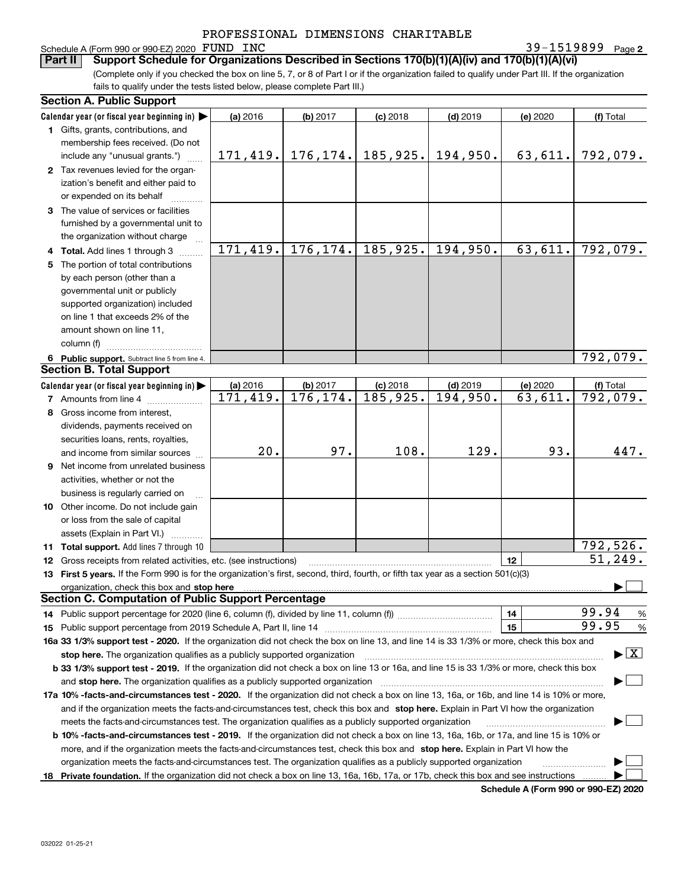# Schedule A (Form 990 or 990-EZ) 2020 FUND INC<br>**Part II** Support Schedule for Organization

**2** FUND INC 39-1519899

(Complete only if you checked the box on line 5, 7, or 8 of Part I or if the organization failed to qualify under Part III. If the organization fails to qualify under the tests listed below, please complete Part III.) **Bupport Schedule for Organizations Described in Sections 170(b)(1)(A)(iv) and 170(b)(1)(A)(vi)** 

|    | <b>Section A. Public Support</b>                                                                                                               |           |           |            |                        |          |                                          |
|----|------------------------------------------------------------------------------------------------------------------------------------------------|-----------|-----------|------------|------------------------|----------|------------------------------------------|
|    | Calendar year (or fiscal year beginning in) $\blacktriangleright$                                                                              | (a) 2016  | (b) 2017  | $(c)$ 2018 | $(d)$ 2019             | (e) 2020 | (f) Total                                |
|    | 1 Gifts, grants, contributions, and                                                                                                            |           |           |            |                        |          |                                          |
|    | membership fees received. (Do not                                                                                                              |           |           |            |                        |          |                                          |
|    | include any "unusual grants.")                                                                                                                 | 171, 419. | 176, 174. | 185,925.   | 194,950.               | 63,611.  | 792,079.                                 |
|    | 2 Tax revenues levied for the organ-                                                                                                           |           |           |            |                        |          |                                          |
|    | ization's benefit and either paid to                                                                                                           |           |           |            |                        |          |                                          |
|    | or expended on its behalf                                                                                                                      |           |           |            |                        |          |                                          |
|    | 3 The value of services or facilities                                                                                                          |           |           |            |                        |          |                                          |
|    | furnished by a governmental unit to                                                                                                            |           |           |            |                        |          |                                          |
|    | the organization without charge                                                                                                                |           |           |            |                        |          |                                          |
|    | 4 Total. Add lines 1 through 3                                                                                                                 | 171,419.  | 176, 174. | 185,925.   | $\overline{194,950}$ . | 63,611.  | $\overline{792}$ , 079.                  |
|    | 5 The portion of total contributions                                                                                                           |           |           |            |                        |          |                                          |
|    | by each person (other than a                                                                                                                   |           |           |            |                        |          |                                          |
|    | governmental unit or publicly                                                                                                                  |           |           |            |                        |          |                                          |
|    | supported organization) included                                                                                                               |           |           |            |                        |          |                                          |
|    | on line 1 that exceeds 2% of the                                                                                                               |           |           |            |                        |          |                                          |
|    | amount shown on line 11,                                                                                                                       |           |           |            |                        |          |                                          |
|    | column (f)                                                                                                                                     |           |           |            |                        |          |                                          |
|    | 6 Public support. Subtract line 5 from line 4.                                                                                                 |           |           |            |                        |          | 792,079.                                 |
|    | <b>Section B. Total Support</b>                                                                                                                |           |           |            |                        |          |                                          |
|    | Calendar year (or fiscal year beginning in)                                                                                                    | (a) 2016  | (b) 2017  | $(c)$ 2018 | $(d)$ 2019             | (e) 2020 | (f) Total                                |
|    | <b>7</b> Amounts from line 4                                                                                                                   | 171,419.  | 176, 174. | 185,925.   | 194,950.               | 63,611.  | 792,079.                                 |
|    | 8 Gross income from interest,                                                                                                                  |           |           |            |                        |          |                                          |
|    | dividends, payments received on                                                                                                                |           |           |            |                        |          |                                          |
|    | securities loans, rents, royalties,                                                                                                            |           |           |            |                        |          |                                          |
|    | and income from similar sources                                                                                                                | 20.       | 97.       | 108.       | 129.                   | 93.      | 447.                                     |
|    | 9 Net income from unrelated business                                                                                                           |           |           |            |                        |          |                                          |
|    | activities, whether or not the                                                                                                                 |           |           |            |                        |          |                                          |
|    | business is regularly carried on                                                                                                               |           |           |            |                        |          |                                          |
|    | 10 Other income. Do not include gain                                                                                                           |           |           |            |                        |          |                                          |
|    | or loss from the sale of capital                                                                                                               |           |           |            |                        |          |                                          |
|    | assets (Explain in Part VI.)                                                                                                                   |           |           |            |                        |          |                                          |
|    | 11 Total support. Add lines 7 through 10                                                                                                       |           |           |            |                        |          | 792,526.                                 |
|    | 12 Gross receipts from related activities, etc. (see instructions)                                                                             |           |           |            |                        | 12       | 51, 249.                                 |
|    | 13 First 5 years. If the Form 990 is for the organization's first, second, third, fourth, or fifth tax year as a section 501(c)(3)             |           |           |            |                        |          |                                          |
|    | organization, check this box and stop here                                                                                                     |           |           |            |                        |          |                                          |
|    | <b>Section C. Computation of Public Support Percentage</b>                                                                                     |           |           |            |                        |          |                                          |
|    |                                                                                                                                                |           |           |            |                        | 14       | 99.94<br>%                               |
|    |                                                                                                                                                |           |           |            |                        | 15       | 99.95<br>%                               |
|    | 16a 33 1/3% support test - 2020. If the organization did not check the box on line 13, and line 14 is 33 1/3% or more, check this box and      |           |           |            |                        |          |                                          |
|    | stop here. The organization qualifies as a publicly supported organization                                                                     |           |           |            |                        |          | $\blacktriangleright$ $\boxed{\text{X}}$ |
|    | b 33 1/3% support test - 2019. If the organization did not check a box on line 13 or 16a, and line 15 is 33 1/3% or more, check this box       |           |           |            |                        |          |                                          |
|    | and stop here. The organization qualifies as a publicly supported organization                                                                 |           |           |            |                        |          |                                          |
|    | 17a 10% -facts-and-circumstances test - 2020. If the organization did not check a box on line 13, 16a, or 16b, and line 14 is 10% or more,     |           |           |            |                        |          |                                          |
|    | and if the organization meets the facts-and-circumstances test, check this box and stop here. Explain in Part VI how the organization          |           |           |            |                        |          |                                          |
|    | meets the facts-and-circumstances test. The organization qualifies as a publicly supported organization                                        |           |           |            |                        |          |                                          |
|    | <b>b 10% -facts-and-circumstances test - 2019.</b> If the organization did not check a box on line 13, 16a, 16b, or 17a, and line 15 is 10% or |           |           |            |                        |          |                                          |
|    | more, and if the organization meets the facts-and-circumstances test, check this box and stop here. Explain in Part VI how the                 |           |           |            |                        |          |                                          |
|    | organization meets the facts-and-circumstances test. The organization qualifies as a publicly supported organization                           |           |           |            |                        |          |                                          |
| 18 | Private foundation. If the organization did not check a box on line 13, 16a, 16b, 17a, or 17b, check this box and see instructions             |           |           |            |                        |          |                                          |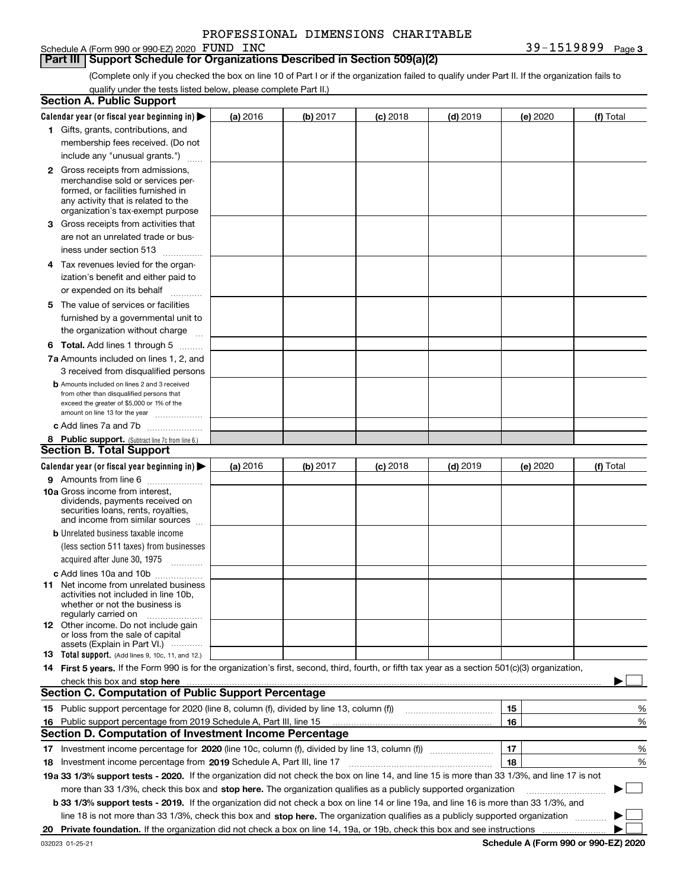| PROFESSIONAL DIMENSIONS CHARITABLE |  |  |
|------------------------------------|--|--|
|------------------------------------|--|--|

### **Part III Support Schedule for Organizations Described in Section 509(a)(2)**

(Complete only if you checked the box on line 10 of Part I or if the organization failed to qualify under Part II. If the organization fails to qualify under the tests listed below, please complete Part II.)

|    | <b>Section A. Public Support</b>                                                                                                                                                                                                   |          |          |            |            |          |           |
|----|------------------------------------------------------------------------------------------------------------------------------------------------------------------------------------------------------------------------------------|----------|----------|------------|------------|----------|-----------|
|    | Calendar year (or fiscal year beginning in) $\blacktriangleright$                                                                                                                                                                  | (a) 2016 | (b) 2017 | $(c)$ 2018 | $(d)$ 2019 | (e) 2020 | (f) Total |
|    | 1 Gifts, grants, contributions, and                                                                                                                                                                                                |          |          |            |            |          |           |
|    | membership fees received. (Do not                                                                                                                                                                                                  |          |          |            |            |          |           |
|    | include any "unusual grants.")                                                                                                                                                                                                     |          |          |            |            |          |           |
|    | <b>2</b> Gross receipts from admissions,                                                                                                                                                                                           |          |          |            |            |          |           |
|    | merchandise sold or services per-                                                                                                                                                                                                  |          |          |            |            |          |           |
|    | formed, or facilities furnished in                                                                                                                                                                                                 |          |          |            |            |          |           |
|    | any activity that is related to the<br>organization's tax-exempt purpose                                                                                                                                                           |          |          |            |            |          |           |
|    | 3 Gross receipts from activities that                                                                                                                                                                                              |          |          |            |            |          |           |
|    | are not an unrelated trade or bus-                                                                                                                                                                                                 |          |          |            |            |          |           |
|    | iness under section 513                                                                                                                                                                                                            |          |          |            |            |          |           |
|    | 4 Tax revenues levied for the organ-                                                                                                                                                                                               |          |          |            |            |          |           |
|    | ization's benefit and either paid to                                                                                                                                                                                               |          |          |            |            |          |           |
|    | or expended on its behalf                                                                                                                                                                                                          |          |          |            |            |          |           |
|    | .                                                                                                                                                                                                                                  |          |          |            |            |          |           |
|    | 5 The value of services or facilities                                                                                                                                                                                              |          |          |            |            |          |           |
|    | furnished by a governmental unit to                                                                                                                                                                                                |          |          |            |            |          |           |
|    | the organization without charge                                                                                                                                                                                                    |          |          |            |            |          |           |
|    | <b>6 Total.</b> Add lines 1 through 5                                                                                                                                                                                              |          |          |            |            |          |           |
|    | 7a Amounts included on lines 1, 2, and                                                                                                                                                                                             |          |          |            |            |          |           |
|    | 3 received from disqualified persons                                                                                                                                                                                               |          |          |            |            |          |           |
|    | <b>b</b> Amounts included on lines 2 and 3 received<br>from other than disqualified persons that                                                                                                                                   |          |          |            |            |          |           |
|    | exceed the greater of \$5,000 or 1% of the                                                                                                                                                                                         |          |          |            |            |          |           |
|    | amount on line 13 for the year                                                                                                                                                                                                     |          |          |            |            |          |           |
|    | c Add lines 7a and 7b                                                                                                                                                                                                              |          |          |            |            |          |           |
|    | 8 Public support. (Subtract line 7c from line 6.)                                                                                                                                                                                  |          |          |            |            |          |           |
|    | <b>Section B. Total Support</b>                                                                                                                                                                                                    |          |          |            |            |          |           |
|    | Calendar year (or fiscal year beginning in)                                                                                                                                                                                        | (a) 2016 | (b) 2017 | $(c)$ 2018 | $(d)$ 2019 | (e) 2020 | (f) Total |
|    | 9 Amounts from line 6                                                                                                                                                                                                              |          |          |            |            |          |           |
|    | <b>10a</b> Gross income from interest,<br>dividends, payments received on                                                                                                                                                          |          |          |            |            |          |           |
|    | securities loans, rents, royalties,                                                                                                                                                                                                |          |          |            |            |          |           |
|    | and income from similar sources                                                                                                                                                                                                    |          |          |            |            |          |           |
|    | <b>b</b> Unrelated business taxable income                                                                                                                                                                                         |          |          |            |            |          |           |
|    | (less section 511 taxes) from businesses                                                                                                                                                                                           |          |          |            |            |          |           |
|    | acquired after June 30, 1975 [10001]                                                                                                                                                                                               |          |          |            |            |          |           |
|    | c Add lines 10a and 10b                                                                                                                                                                                                            |          |          |            |            |          |           |
|    | 11 Net income from unrelated business                                                                                                                                                                                              |          |          |            |            |          |           |
|    | activities not included in line 10b,<br>whether or not the business is                                                                                                                                                             |          |          |            |            |          |           |
|    | regularly carried on                                                                                                                                                                                                               |          |          |            |            |          |           |
|    | <b>12</b> Other income. Do not include gain                                                                                                                                                                                        |          |          |            |            |          |           |
|    | or loss from the sale of capital<br>assets (Explain in Part VI.)                                                                                                                                                                   |          |          |            |            |          |           |
|    | <b>13</b> Total support. (Add lines 9, 10c, 11, and 12.)                                                                                                                                                                           |          |          |            |            |          |           |
|    | 14 First 5 years. If the Form 990 is for the organization's first, second, third, fourth, or fifth tax year as a section 501(c)(3) organization,                                                                                   |          |          |            |            |          |           |
|    | check this box and <b>stop here</b> with the construction of the construction of the state of the state of the construction of the construction of the construction of the construction of the construction of the construction of |          |          |            |            |          |           |
|    | <b>Section C. Computation of Public Support Percentage</b>                                                                                                                                                                         |          |          |            |            |          |           |
|    | 15 Public support percentage for 2020 (line 8, column (f), divided by line 13, column (f))                                                                                                                                         |          |          |            |            | 15       | ℀         |
| 16 | Public support percentage from 2019 Schedule A, Part III, line 15                                                                                                                                                                  |          |          |            |            | 16       | %         |
|    | <b>Section D. Computation of Investment Income Percentage</b>                                                                                                                                                                      |          |          |            |            |          |           |
| 17 | Investment income percentage for 2020 (line 10c, column (f), divided by line 13, column (f))                                                                                                                                       |          |          |            |            | 17       | %         |
|    | 18 Investment income percentage from 2019 Schedule A, Part III, line 17                                                                                                                                                            |          |          |            |            | 18       | %         |
|    | 19a 33 1/3% support tests - 2020. If the organization did not check the box on line 14, and line 15 is more than 33 1/3%, and line 17 is not                                                                                       |          |          |            |            |          |           |
|    | more than 33 1/3%, check this box and stop here. The organization qualifies as a publicly supported organization                                                                                                                   |          |          |            |            |          |           |
|    | b 33 1/3% support tests - 2019. If the organization did not check a box on line 14 or line 19a, and line 16 is more than 33 1/3%, and                                                                                              |          |          |            |            |          |           |
|    | line 18 is not more than 33 1/3%, check this box and stop here. The organization qualifies as a publicly supported organization                                                                                                    |          |          |            |            |          |           |
| 20 |                                                                                                                                                                                                                                    |          |          |            |            |          |           |
|    |                                                                                                                                                                                                                                    |          |          |            |            |          |           |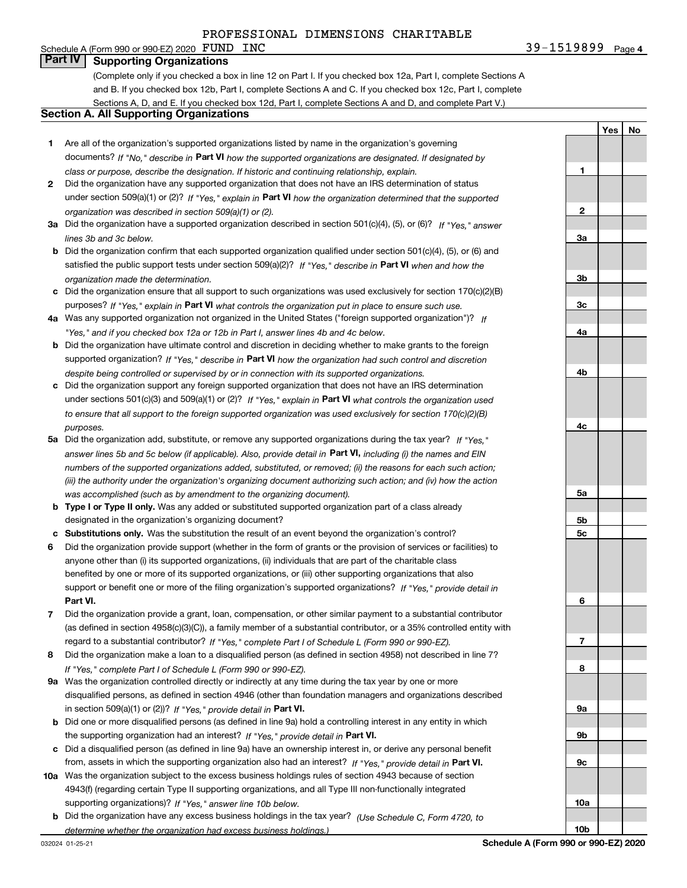### Schedule A (Form 990 or 990-EZ) 2020  $\textbf{FUND } INC$ **Part IV Supporting Organizations**

(Complete only if you checked a box in line 12 on Part I. If you checked box 12a, Part I, complete Sections A and B. If you checked box 12b, Part I, complete Sections A and C. If you checked box 12c, Part I, complete Sections A, D, and E. If you checked box 12d, Part I, complete Sections A and D, and complete Part V.)

### **Section A. All Supporting Organizations**

- **1** Are all of the organization's supported organizations listed by name in the organization's governing documents? If "No," describe in **Part VI** how the supported organizations are designated. If designated by *class or purpose, describe the designation. If historic and continuing relationship, explain.*
- **2** Did the organization have any supported organization that does not have an IRS determination of status under section 509(a)(1) or (2)? If "Yes," explain in Part VI how the organization determined that the supported *organization was described in section 509(a)(1) or (2).*
- **3a** Did the organization have a supported organization described in section 501(c)(4), (5), or (6)? If "Yes," answer *lines 3b and 3c below.*
- **b** Did the organization confirm that each supported organization qualified under section 501(c)(4), (5), or (6) and satisfied the public support tests under section 509(a)(2)? If "Yes," describe in **Part VI** when and how the *organization made the determination.*
- **c**Did the organization ensure that all support to such organizations was used exclusively for section 170(c)(2)(B) purposes? If "Yes," explain in **Part VI** what controls the organization put in place to ensure such use.
- **4a***If* Was any supported organization not organized in the United States ("foreign supported organization")? *"Yes," and if you checked box 12a or 12b in Part I, answer lines 4b and 4c below.*
- **b** Did the organization have ultimate control and discretion in deciding whether to make grants to the foreign supported organization? If "Yes," describe in **Part VI** how the organization had such control and discretion *despite being controlled or supervised by or in connection with its supported organizations.*
- **c** Did the organization support any foreign supported organization that does not have an IRS determination under sections 501(c)(3) and 509(a)(1) or (2)? If "Yes," explain in **Part VI** what controls the organization used *to ensure that all support to the foreign supported organization was used exclusively for section 170(c)(2)(B) purposes.*
- **5a***If "Yes,"* Did the organization add, substitute, or remove any supported organizations during the tax year? answer lines 5b and 5c below (if applicable). Also, provide detail in **Part VI,** including (i) the names and EIN *numbers of the supported organizations added, substituted, or removed; (ii) the reasons for each such action; (iii) the authority under the organization's organizing document authorizing such action; and (iv) how the action was accomplished (such as by amendment to the organizing document).*
- **b** Type I or Type II only. Was any added or substituted supported organization part of a class already designated in the organization's organizing document?
- **cSubstitutions only.**  Was the substitution the result of an event beyond the organization's control?
- **6** Did the organization provide support (whether in the form of grants or the provision of services or facilities) to **Part VI.** *If "Yes," provide detail in* support or benefit one or more of the filing organization's supported organizations? anyone other than (i) its supported organizations, (ii) individuals that are part of the charitable class benefited by one or more of its supported organizations, or (iii) other supporting organizations that also
- **7**Did the organization provide a grant, loan, compensation, or other similar payment to a substantial contributor *If "Yes," complete Part I of Schedule L (Form 990 or 990-EZ).* regard to a substantial contributor? (as defined in section 4958(c)(3)(C)), a family member of a substantial contributor, or a 35% controlled entity with
- **8** Did the organization make a loan to a disqualified person (as defined in section 4958) not described in line 7? *If "Yes," complete Part I of Schedule L (Form 990 or 990-EZ).*
- **9a** Was the organization controlled directly or indirectly at any time during the tax year by one or more in section 509(a)(1) or (2))? If "Yes," *provide detail in* <code>Part VI.</code> disqualified persons, as defined in section 4946 (other than foundation managers and organizations described
- **b** Did one or more disqualified persons (as defined in line 9a) hold a controlling interest in any entity in which the supporting organization had an interest? If "Yes," provide detail in P**art VI**.
- **c**Did a disqualified person (as defined in line 9a) have an ownership interest in, or derive any personal benefit from, assets in which the supporting organization also had an interest? If "Yes," provide detail in P**art VI.**
- **10a** Was the organization subject to the excess business holdings rules of section 4943 because of section supporting organizations)? If "Yes," answer line 10b below. 4943(f) (regarding certain Type II supporting organizations, and all Type III non-functionally integrated
- **b** Did the organization have any excess business holdings in the tax year? (Use Schedule C, Form 4720, to *determine whether the organization had excess business holdings.)*

**1**

**Yes**

**No**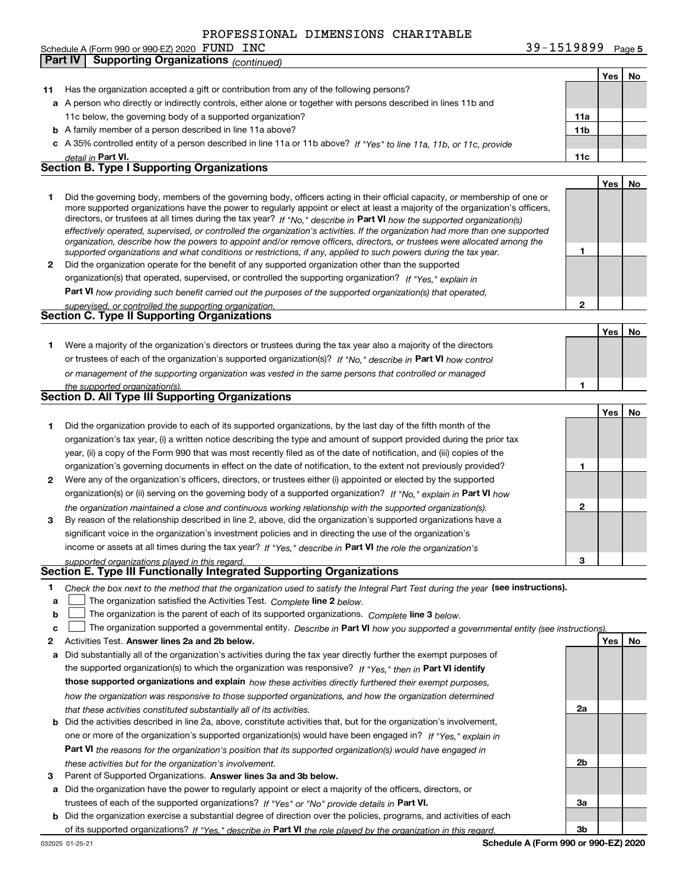**Part IV Supporting Organizations** *(continued)*

| INC<br>Schedule A (Form 990 or 990-EZ) 2020 $\,$ ${\rm FUND}$ | $39 - 1519899$ Page 5 |  |
|---------------------------------------------------------------|-----------------------|--|
|---------------------------------------------------------------|-----------------------|--|

|    |                                                                                                                                                                                                                                                          |     | Yes | No |
|----|----------------------------------------------------------------------------------------------------------------------------------------------------------------------------------------------------------------------------------------------------------|-----|-----|----|
| 11 | Has the organization accepted a gift or contribution from any of the following persons?                                                                                                                                                                  |     |     |    |
|    | a A person who directly or indirectly controls, either alone or together with persons described in lines 11b and                                                                                                                                         |     |     |    |
|    | 11c below, the governing body of a supported organization?                                                                                                                                                                                               | 11a |     |    |
|    | <b>b</b> A family member of a person described in line 11a above?                                                                                                                                                                                        | 11b |     |    |
|    | c A 35% controlled entity of a person described in line 11a or 11b above? If "Yes" to line 11a, 11b, or 11c, provide                                                                                                                                     |     |     |    |
|    | detail in Part VI.                                                                                                                                                                                                                                       | 11c |     |    |
|    | <b>Section B. Type I Supporting Organizations</b>                                                                                                                                                                                                        |     |     |    |
|    |                                                                                                                                                                                                                                                          |     |     |    |
|    |                                                                                                                                                                                                                                                          |     | Yes | No |
| 1  | Did the governing body, members of the governing body, officers acting in their official capacity, or membership of one or                                                                                                                               |     |     |    |
|    | more supported organizations have the power to regularly appoint or elect at least a majority of the organization's officers,<br>directors, or trustees at all times during the tax year? If "No," describe in Part VI how the supported organization(s) |     |     |    |
|    | effectively operated, supervised, or controlled the organization's activities. If the organization had more than one supported                                                                                                                           |     |     |    |
|    | organization, describe how the powers to appoint and/or remove officers, directors, or trustees were allocated among the                                                                                                                                 |     |     |    |
|    | supported organizations and what conditions or restrictions, if any, applied to such powers during the tax year.                                                                                                                                         | 1   |     |    |
| 2  | Did the organization operate for the benefit of any supported organization other than the supported                                                                                                                                                      |     |     |    |
|    | organization(s) that operated, supervised, or controlled the supporting organization? If "Yes," explain in                                                                                                                                               |     |     |    |
|    | Part VI how providing such benefit carried out the purposes of the supported organization(s) that operated,                                                                                                                                              |     |     |    |
|    | supervised, or controlled the supporting organization.                                                                                                                                                                                                   | 2   |     |    |
|    | Section C. Type II Supporting Organizations                                                                                                                                                                                                              |     |     |    |
|    |                                                                                                                                                                                                                                                          |     |     |    |
|    |                                                                                                                                                                                                                                                          |     | Yes | No |
| 1. | Were a majority of the organization's directors or trustees during the tax year also a majority of the directors                                                                                                                                         |     |     |    |
|    | or trustees of each of the organization's supported organization(s)? If "No," describe in Part VI how control                                                                                                                                            |     |     |    |
|    | or management of the supporting organization was vested in the same persons that controlled or managed                                                                                                                                                   |     |     |    |
|    | the supported organization(s).                                                                                                                                                                                                                           | 1   |     |    |
|    | Section D. All Type III Supporting Organizations                                                                                                                                                                                                         |     |     |    |
|    |                                                                                                                                                                                                                                                          |     | Yes | No |
| 1  | Did the organization provide to each of its supported organizations, by the last day of the fifth month of the                                                                                                                                           |     |     |    |
|    | organization's tax year, (i) a written notice describing the type and amount of support provided during the prior tax                                                                                                                                    |     |     |    |
|    | year, (ii) a copy of the Form 990 that was most recently filed as of the date of notification, and (iii) copies of the                                                                                                                                   |     |     |    |
|    | organization's governing documents in effect on the date of notification, to the extent not previously provided?                                                                                                                                         | 1   |     |    |
| 2  | Were any of the organization's officers, directors, or trustees either (i) appointed or elected by the supported                                                                                                                                         |     |     |    |
|    | organization(s) or (ii) serving on the governing body of a supported organization? If "No," explain in Part VI how                                                                                                                                       |     |     |    |
|    |                                                                                                                                                                                                                                                          | 2   |     |    |
|    | the organization maintained a close and continuous working relationship with the supported organization(s).                                                                                                                                              |     |     |    |
| 3  | By reason of the relationship described in line 2, above, did the organization's supported organizations have a                                                                                                                                          |     |     |    |
|    | significant voice in the organization's investment policies and in directing the use of the organization's                                                                                                                                               |     |     |    |
|    | income or assets at all times during the tax year? If "Yes," describe in Part VI the role the organization's                                                                                                                                             |     |     |    |
|    | supported organizations played in this regard.                                                                                                                                                                                                           | 3   |     |    |
|    | Section E. Type III Functionally Integrated Supporting Organizations                                                                                                                                                                                     |     |     |    |
| 1  | Check the box next to the method that the organization used to satisfy the Integral Part Test during the year (see instructions).                                                                                                                        |     |     |    |
| a  | The organization satisfied the Activities Test. Complete line 2 below.                                                                                                                                                                                   |     |     |    |
| b  | The organization is the parent of each of its supported organizations. Complete line 3 below.                                                                                                                                                            |     |     |    |
| c  | The organization supported a governmental entity. Describe in Part VI how you supported a governmental entity (see instructions).                                                                                                                        |     |     |    |
| 2  | Activities Test. Answer lines 2a and 2b below.                                                                                                                                                                                                           |     | Yes | No |
| а  | Did substantially all of the organization's activities during the tax year directly further the exempt purposes of                                                                                                                                       |     |     |    |
|    | the supported organization(s) to which the organization was responsive? If "Yes." then in Part VI identify                                                                                                                                               |     |     |    |
|    | those supported organizations and explain how these activities directly furthered their exempt purposes,                                                                                                                                                 |     |     |    |
|    |                                                                                                                                                                                                                                                          |     |     |    |
|    | how the organization was responsive to those supported organizations, and how the organization determined                                                                                                                                                | 2a  |     |    |
|    | that these activities constituted substantially all of its activities.                                                                                                                                                                                   |     |     |    |
|    | <b>b</b> Did the activities described in line 2a, above, constitute activities that, but for the organization's involvement,                                                                                                                             |     |     |    |
|    | one or more of the organization's supported organization(s) would have been engaged in? If "Yes," explain in                                                                                                                                             |     |     |    |
|    | <b>Part VI</b> the reasons for the organization's position that its supported organization(s) would have engaged in                                                                                                                                      |     |     |    |
|    | these activities but for the organization's involvement.                                                                                                                                                                                                 | 2b  |     |    |
| з  | Parent of Supported Organizations. Answer lines 3a and 3b below.                                                                                                                                                                                         |     |     |    |
|    | a Did the organization have the power to regularly appoint or elect a majority of the officers, directors, or                                                                                                                                            |     |     |    |
|    | trustees of each of the supported organizations? If "Yes" or "No" provide details in Part VI.                                                                                                                                                            | За  |     |    |
|    | <b>b</b> Did the organization exercise a substantial degree of direction over the policies, programs, and activities of each                                                                                                                             |     |     |    |
|    | of its supported organizations? If "Yes," describe in Part VI the role played by the organization in this regard.                                                                                                                                        | Зb  |     |    |
|    |                                                                                                                                                                                                                                                          |     |     |    |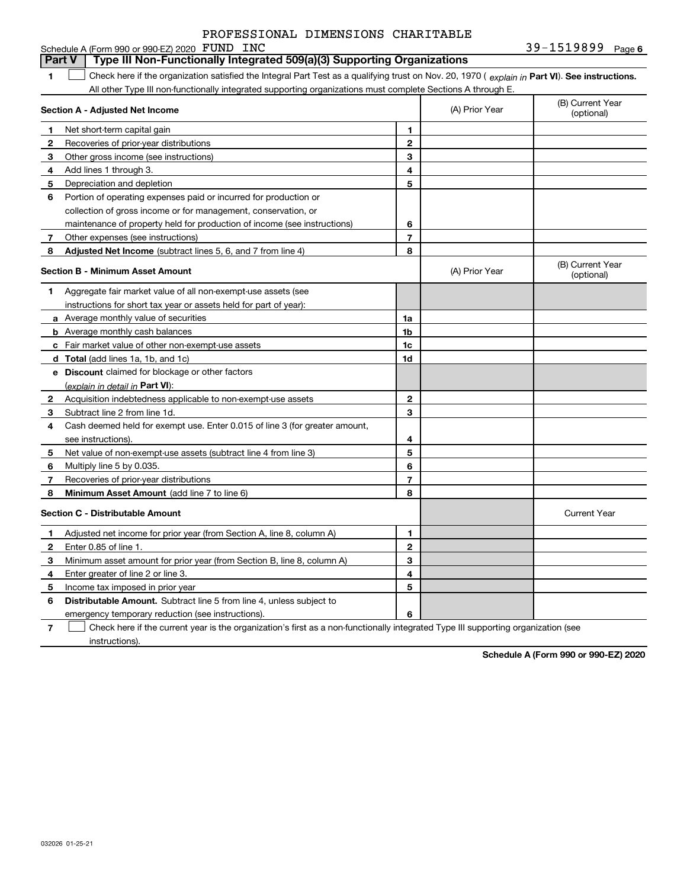|--|

#### **1Part VI** Check here if the organization satisfied the Integral Part Test as a qualifying trust on Nov. 20, 1970 ( explain in Part **VI**). See instructions. **Section A - Adjusted Net Income 123** Other gross income (see instructions) **4**Add lines 1 through 3. **56** Portion of operating expenses paid or incurred for production or **78** Adjusted Net Income (subtract lines 5, 6, and 7 from line 4) **8 8 1234567Section B - Minimum Asset Amount 1**Aggregate fair market value of all non-exempt-use assets (see **2**Acquisition indebtedness applicable to non-exempt-use assets **3** Subtract line 2 from line 1d. **4**Cash deemed held for exempt use. Enter 0.015 of line 3 (for greater amount, **5** Net value of non-exempt-use assets (subtract line 4 from line 3) **678a** Average monthly value of securities **b** Average monthly cash balances **c**Fair market value of other non-exempt-use assets **dTotal**  (add lines 1a, 1b, and 1c) **eDiscount** claimed for blockage or other factors **1a1b1c1d2345678**(explain in detail in Part VI): **Minimum Asset Amount**  (add line 7 to line 6) **Section C - Distributable Amount 123456123456Distributable Amount.** Subtract line 5 from line 4, unless subject to Schedule A (Form 990 or 990-EZ) 2020 FUND INC All other Type III non-functionally integrated supporting organizations must complete Sections A through E. (B) Current Year (optional)(A) Prior Year Net short-term capital gain Recoveries of prior-year distributions Depreciation and depletion collection of gross income or for management, conservation, or maintenance of property held for production of income (see instructions) Other expenses (see instructions) (B) Current Year (optional)(A) Prior Year instructions for short tax year or assets held for part of year): see instructions). Multiply line 5 by 0.035. Recoveries of prior-year distributions Current Year Adjusted net income for prior year (from Section A, line 8, column A) Enter 0.85 of line 1. Minimum asset amount for prior year (from Section B, line 8, column A) Enter greater of line 2 or line 3. Income tax imposed in prior year emergency temporary reduction (see instructions). **Part V Type III Non-Functionally Integrated 509(a)(3) Supporting Organizations**   $\mathcal{L}^{\text{max}}$

**7**Check here if the current year is the organization's first as a non-functionally integrated Type III supporting organization (see instructions). $\mathcal{L}^{\text{max}}$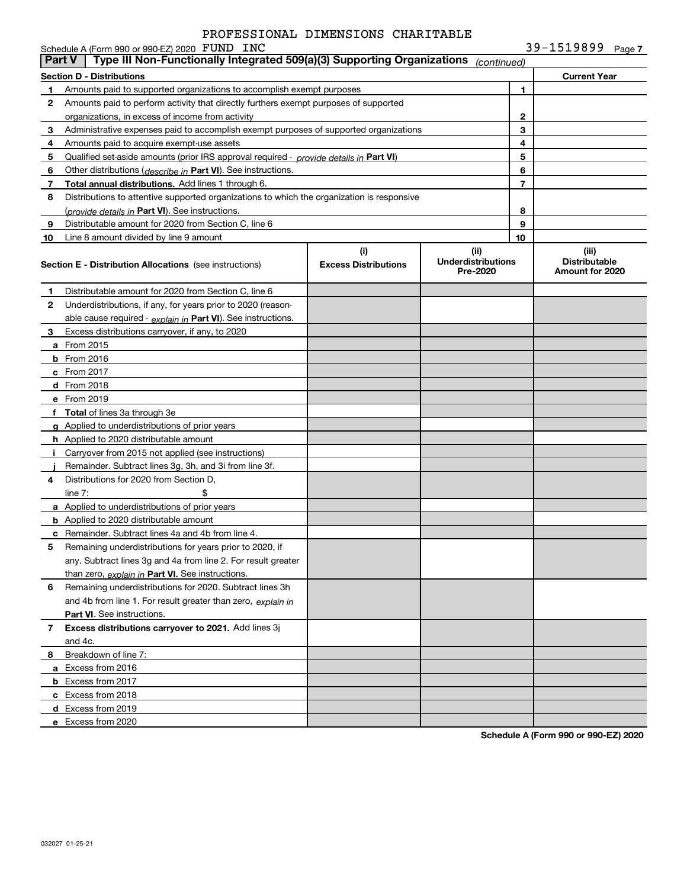| $39 - 1519899$ Page 7 |  |  |
|-----------------------|--|--|
|-----------------------|--|--|

|               | Schedule A (Form 990 or 990-EZ) 2020 FUND INC                                              |                                    |                                               |                | 39-1519899<br>Page 7                             |
|---------------|--------------------------------------------------------------------------------------------|------------------------------------|-----------------------------------------------|----------------|--------------------------------------------------|
| <b>Part V</b> | Type III Non-Functionally Integrated 509(a)(3) Supporting Organizations                    |                                    | (continued)                                   |                |                                                  |
|               | Section D - Distributions                                                                  |                                    |                                               |                | <b>Current Year</b>                              |
| 1             | Amounts paid to supported organizations to accomplish exempt purposes                      |                                    |                                               | 1              |                                                  |
| 2             | Amounts paid to perform activity that directly furthers exempt purposes of supported       |                                    |                                               |                |                                                  |
|               | organizations, in excess of income from activity                                           |                                    |                                               | $\mathbf{2}$   |                                                  |
| 3             | Administrative expenses paid to accomplish exempt purposes of supported organizations      |                                    | 3                                             |                |                                                  |
| 4             | Amounts paid to acquire exempt-use assets                                                  |                                    |                                               | 4              |                                                  |
| 5             | Qualified set-aside amounts (prior IRS approval required - provide details in Part VI)     |                                    |                                               | 5              |                                                  |
| 6             | Other distributions (describe in Part VI). See instructions.                               |                                    |                                               | 6              |                                                  |
| 7             | Total annual distributions. Add lines 1 through 6.                                         |                                    |                                               | $\overline{7}$ |                                                  |
| 8             | Distributions to attentive supported organizations to which the organization is responsive |                                    |                                               |                |                                                  |
|               | (provide details in Part VI). See instructions.                                            |                                    |                                               | 8              |                                                  |
| 9             | Distributable amount for 2020 from Section C, line 6                                       |                                    |                                               | 9              |                                                  |
| 10            | Line 8 amount divided by line 9 amount                                                     |                                    |                                               | 10             |                                                  |
|               | <b>Section E - Distribution Allocations</b> (see instructions)                             | (i)<br><b>Excess Distributions</b> | (ii)<br><b>Underdistributions</b><br>Pre-2020 |                | (iii)<br><b>Distributable</b><br>Amount for 2020 |
| 1             | Distributable amount for 2020 from Section C, line 6                                       |                                    |                                               |                |                                                  |
| 2             | Underdistributions, if any, for years prior to 2020 (reason-                               |                                    |                                               |                |                                                  |
|               | able cause required - explain in Part VI). See instructions.                               |                                    |                                               |                |                                                  |
| 3             | Excess distributions carryover, if any, to 2020                                            |                                    |                                               |                |                                                  |
|               | <b>a</b> From 2015                                                                         |                                    |                                               |                |                                                  |
|               | <b>b</b> From 2016                                                                         |                                    |                                               |                |                                                  |
|               | $c$ From 2017                                                                              |                                    |                                               |                |                                                  |
|               | d From 2018                                                                                |                                    |                                               |                |                                                  |
|               | e From 2019                                                                                |                                    |                                               |                |                                                  |
|               | f Total of lines 3a through 3e                                                             |                                    |                                               |                |                                                  |
|               | g Applied to underdistributions of prior years                                             |                                    |                                               |                |                                                  |
|               | <b>h</b> Applied to 2020 distributable amount                                              |                                    |                                               |                |                                                  |
|               | Carryover from 2015 not applied (see instructions)                                         |                                    |                                               |                |                                                  |
|               | Remainder. Subtract lines 3g, 3h, and 3i from line 3f.                                     |                                    |                                               |                |                                                  |
| 4             | Distributions for 2020 from Section D,                                                     |                                    |                                               |                |                                                  |
|               | \$<br>line $7:$                                                                            |                                    |                                               |                |                                                  |
|               | a Applied to underdistributions of prior years                                             |                                    |                                               |                |                                                  |
|               | <b>b</b> Applied to 2020 distributable amount                                              |                                    |                                               |                |                                                  |
|               | <b>c</b> Remainder. Subtract lines 4a and 4b from line 4.                                  |                                    |                                               |                |                                                  |
|               | Remaining underdistributions for years prior to 2020, if                                   |                                    |                                               |                |                                                  |
|               | any. Subtract lines 3g and 4a from line 2. For result greater                              |                                    |                                               |                |                                                  |
|               | than zero, explain in Part VI. See instructions.                                           |                                    |                                               |                |                                                  |
| 6             | Remaining underdistributions for 2020. Subtract lines 3h                                   |                                    |                                               |                |                                                  |
|               | and 4b from line 1. For result greater than zero, explain in                               |                                    |                                               |                |                                                  |
|               | Part VI. See instructions.                                                                 |                                    |                                               |                |                                                  |
| 7             | <b>Excess distributions carryover to 2021.</b> Add lines 3j                                |                                    |                                               |                |                                                  |
|               | and 4c.                                                                                    |                                    |                                               |                |                                                  |
| 8             | Breakdown of line 7:                                                                       |                                    |                                               |                |                                                  |
|               | a Excess from 2016                                                                         |                                    |                                               |                |                                                  |
|               | <b>b</b> Excess from 2017                                                                  |                                    |                                               |                |                                                  |
|               | c Excess from 2018                                                                         |                                    |                                               |                |                                                  |
|               | d Excess from 2019                                                                         |                                    |                                               |                |                                                  |
|               | e Excess from 2020                                                                         |                                    |                                               |                |                                                  |
|               |                                                                                            |                                    |                                               |                |                                                  |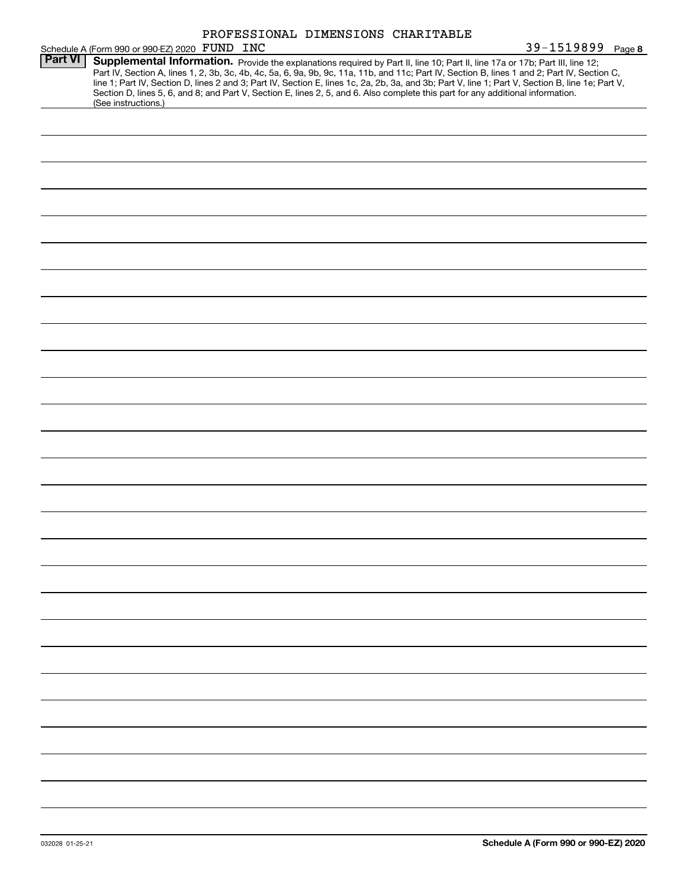|                                                                                                                                                                                                                                                                                                                                                                                                                                                                                                                                          | 39-1519899 Page 8 |
|------------------------------------------------------------------------------------------------------------------------------------------------------------------------------------------------------------------------------------------------------------------------------------------------------------------------------------------------------------------------------------------------------------------------------------------------------------------------------------------------------------------------------------------|-------------------|
| Schedule A (Form 990 or 990-EZ) 2020 FUND INC<br><b>Part VI   Supplemental Information.</b> Provide<br>Supplemental Information. Provide the explanations required by Part II, line 10; Part II, line 17a or 17b; Part III, line 12;<br>Part IV, Section A, lines 1, 2, 3b, 3c, 4b, 4c, 5a, 6, 9a, 9b, 9c, 11a, 11b, and 11c; Part IV, Section B, lines 1 and 2; Part IV, Section C,<br>line 1; Part IV, Section D, lines 2 and 3; Part IV, Section E, lines 1c, 2a, 2b, 3a, and 3b; Part V, line 1; Part V, Section B, line 1e; Part V, |                   |
| Section D, lines 5, 6, and 8; and Part V, Section E, lines 2, 5, and 6. Also complete this part for any additional information.<br>(See instructions.)                                                                                                                                                                                                                                                                                                                                                                                   |                   |
|                                                                                                                                                                                                                                                                                                                                                                                                                                                                                                                                          |                   |
|                                                                                                                                                                                                                                                                                                                                                                                                                                                                                                                                          |                   |
|                                                                                                                                                                                                                                                                                                                                                                                                                                                                                                                                          |                   |
|                                                                                                                                                                                                                                                                                                                                                                                                                                                                                                                                          |                   |
|                                                                                                                                                                                                                                                                                                                                                                                                                                                                                                                                          |                   |
|                                                                                                                                                                                                                                                                                                                                                                                                                                                                                                                                          |                   |
|                                                                                                                                                                                                                                                                                                                                                                                                                                                                                                                                          |                   |
|                                                                                                                                                                                                                                                                                                                                                                                                                                                                                                                                          |                   |
|                                                                                                                                                                                                                                                                                                                                                                                                                                                                                                                                          |                   |
|                                                                                                                                                                                                                                                                                                                                                                                                                                                                                                                                          |                   |
|                                                                                                                                                                                                                                                                                                                                                                                                                                                                                                                                          |                   |
|                                                                                                                                                                                                                                                                                                                                                                                                                                                                                                                                          |                   |
|                                                                                                                                                                                                                                                                                                                                                                                                                                                                                                                                          |                   |
|                                                                                                                                                                                                                                                                                                                                                                                                                                                                                                                                          |                   |
|                                                                                                                                                                                                                                                                                                                                                                                                                                                                                                                                          |                   |
|                                                                                                                                                                                                                                                                                                                                                                                                                                                                                                                                          |                   |
|                                                                                                                                                                                                                                                                                                                                                                                                                                                                                                                                          |                   |
|                                                                                                                                                                                                                                                                                                                                                                                                                                                                                                                                          |                   |
|                                                                                                                                                                                                                                                                                                                                                                                                                                                                                                                                          |                   |
|                                                                                                                                                                                                                                                                                                                                                                                                                                                                                                                                          |                   |
|                                                                                                                                                                                                                                                                                                                                                                                                                                                                                                                                          |                   |
|                                                                                                                                                                                                                                                                                                                                                                                                                                                                                                                                          |                   |
|                                                                                                                                                                                                                                                                                                                                                                                                                                                                                                                                          |                   |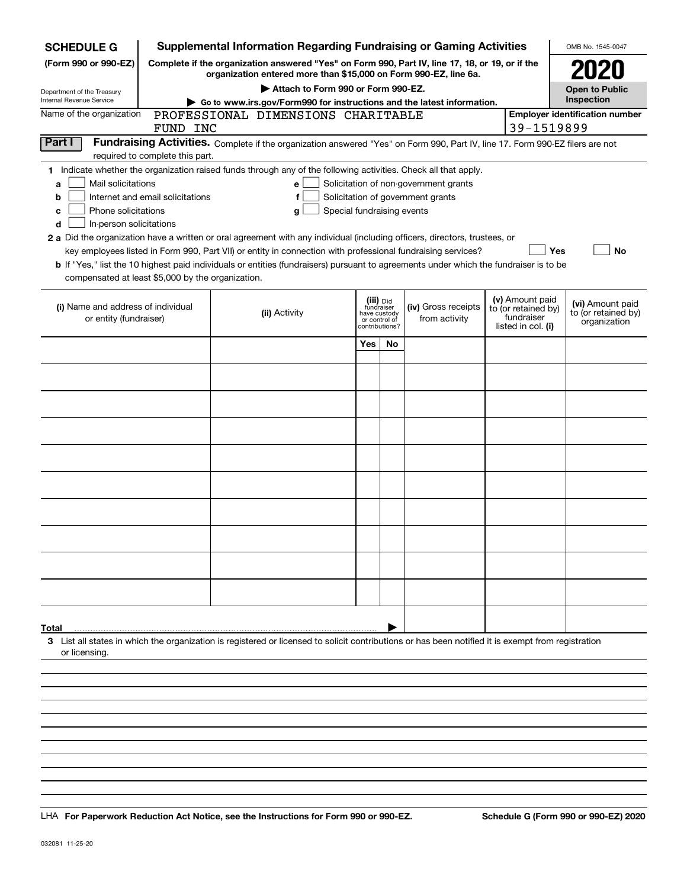| <b>SCHEDULE G</b>                                                                                                                                                          |                                  | <b>Supplemental Information Regarding Fundraising or Gaming Activities</b>                                                                                          |                                    |                                         |    |                                       |  |                                                      | OMB No. 1545-0047                       |
|----------------------------------------------------------------------------------------------------------------------------------------------------------------------------|----------------------------------|---------------------------------------------------------------------------------------------------------------------------------------------------------------------|------------------------------------|-----------------------------------------|----|---------------------------------------|--|------------------------------------------------------|-----------------------------------------|
| (Form 990 or 990-EZ)                                                                                                                                                       |                                  | Complete if the organization answered "Yes" on Form 990, Part IV, line 17, 18, or 19, or if the<br>organization entered more than \$15,000 on Form 990-EZ, line 6a. |                                    |                                         |    |                                       |  |                                                      | <b>2020</b>                             |
| Department of the Treasury                                                                                                                                                 |                                  |                                                                                                                                                                     | Attach to Form 990 or Form 990-EZ. |                                         |    |                                       |  |                                                      | <b>Open to Public</b>                   |
| Internal Revenue Service                                                                                                                                                   |                                  | Go to www.irs.gov/Form990 for instructions and the latest information.                                                                                              |                                    |                                         |    |                                       |  |                                                      | Inspection                              |
| Name of the organization                                                                                                                                                   |                                  | PROFESSIONAL DIMENSIONS CHARITABLE                                                                                                                                  |                                    |                                         |    |                                       |  |                                                      | <b>Employer identification number</b>   |
|                                                                                                                                                                            | FUND INC                         |                                                                                                                                                                     |                                    |                                         |    |                                       |  | 39-1519899                                           |                                         |
| Part I<br>Fundraising Activities. Complete if the organization answered "Yes" on Form 990, Part IV, line 17. Form 990-EZ filers are not<br>required to complete this part. |                                  |                                                                                                                                                                     |                                    |                                         |    |                                       |  |                                                      |                                         |
| 1 Indicate whether the organization raised funds through any of the following activities. Check all that apply.                                                            |                                  |                                                                                                                                                                     |                                    |                                         |    |                                       |  |                                                      |                                         |
| Mail solicitations<br>a                                                                                                                                                    |                                  |                                                                                                                                                                     | е                                  |                                         |    | Solicitation of non-government grants |  |                                                      |                                         |
| b                                                                                                                                                                          | Internet and email solicitations |                                                                                                                                                                     | f                                  |                                         |    | Solicitation of government grants     |  |                                                      |                                         |
| Phone solicitations<br>с                                                                                                                                                   |                                  |                                                                                                                                                                     | Special fundraising events<br>g    |                                         |    |                                       |  |                                                      |                                         |
| In-person solicitations<br>d                                                                                                                                               |                                  |                                                                                                                                                                     |                                    |                                         |    |                                       |  |                                                      |                                         |
| 2 a Did the organization have a written or oral agreement with any individual (including officers, directors, trustees, or                                                 |                                  |                                                                                                                                                                     |                                    |                                         |    |                                       |  |                                                      |                                         |
|                                                                                                                                                                            |                                  | key employees listed in Form 990, Part VII) or entity in connection with professional fundraising services?                                                         |                                    |                                         |    |                                       |  | Yes                                                  | No                                      |
| <b>b</b> If "Yes," list the 10 highest paid individuals or entities (fundraisers) pursuant to agreements under which the fundraiser is to be                               |                                  |                                                                                                                                                                     |                                    |                                         |    |                                       |  |                                                      |                                         |
| compensated at least \$5,000 by the organization.                                                                                                                          |                                  |                                                                                                                                                                     |                                    |                                         |    |                                       |  |                                                      |                                         |
| (i) Name and address of individual                                                                                                                                         |                                  | (ii) Activity                                                                                                                                                       |                                    | (iii) Did<br>fundraiser<br>have custody |    | (iv) Gross receipts                   |  | (v) Amount paid<br>to (or retained by)<br>fundraiser | (vi) Amount paid<br>to (or retained by) |
| or entity (fundraiser)                                                                                                                                                     |                                  |                                                                                                                                                                     |                                    | or control of<br>contributions?         |    | from activity                         |  | listed in col. (i)                                   | organization                            |
|                                                                                                                                                                            |                                  |                                                                                                                                                                     |                                    | Yes                                     | No |                                       |  |                                                      |                                         |
|                                                                                                                                                                            |                                  |                                                                                                                                                                     |                                    |                                         |    |                                       |  |                                                      |                                         |
|                                                                                                                                                                            |                                  |                                                                                                                                                                     |                                    |                                         |    |                                       |  |                                                      |                                         |
|                                                                                                                                                                            |                                  |                                                                                                                                                                     |                                    |                                         |    |                                       |  |                                                      |                                         |
|                                                                                                                                                                            |                                  |                                                                                                                                                                     |                                    |                                         |    |                                       |  |                                                      |                                         |
|                                                                                                                                                                            |                                  |                                                                                                                                                                     |                                    |                                         |    |                                       |  |                                                      |                                         |
|                                                                                                                                                                            |                                  |                                                                                                                                                                     |                                    |                                         |    |                                       |  |                                                      |                                         |
|                                                                                                                                                                            |                                  |                                                                                                                                                                     |                                    |                                         |    |                                       |  |                                                      |                                         |
|                                                                                                                                                                            |                                  |                                                                                                                                                                     |                                    |                                         |    |                                       |  |                                                      |                                         |
|                                                                                                                                                                            |                                  |                                                                                                                                                                     |                                    |                                         |    |                                       |  |                                                      |                                         |
|                                                                                                                                                                            |                                  |                                                                                                                                                                     |                                    |                                         |    |                                       |  |                                                      |                                         |
|                                                                                                                                                                            |                                  |                                                                                                                                                                     |                                    |                                         |    |                                       |  |                                                      |                                         |
|                                                                                                                                                                            |                                  |                                                                                                                                                                     |                                    |                                         |    |                                       |  |                                                      |                                         |
|                                                                                                                                                                            |                                  |                                                                                                                                                                     |                                    |                                         |    |                                       |  |                                                      |                                         |
| Total                                                                                                                                                                      |                                  |                                                                                                                                                                     |                                    |                                         |    |                                       |  |                                                      |                                         |
| 3 List all states in which the organization is registered or licensed to solicit contributions or has been notified it is exempt from registration<br>or licensing.        |                                  |                                                                                                                                                                     |                                    |                                         |    |                                       |  |                                                      |                                         |
|                                                                                                                                                                            |                                  |                                                                                                                                                                     |                                    |                                         |    |                                       |  |                                                      |                                         |
|                                                                                                                                                                            |                                  |                                                                                                                                                                     |                                    |                                         |    |                                       |  |                                                      |                                         |
|                                                                                                                                                                            |                                  |                                                                                                                                                                     |                                    |                                         |    |                                       |  |                                                      |                                         |
|                                                                                                                                                                            |                                  |                                                                                                                                                                     |                                    |                                         |    |                                       |  |                                                      |                                         |
|                                                                                                                                                                            |                                  |                                                                                                                                                                     |                                    |                                         |    |                                       |  |                                                      |                                         |

LHA For Paperwork Reduction Act Notice, see the Instructions for Form 990 or 990-EZ. Schedule G (Form 990 or 990-EZ) 2020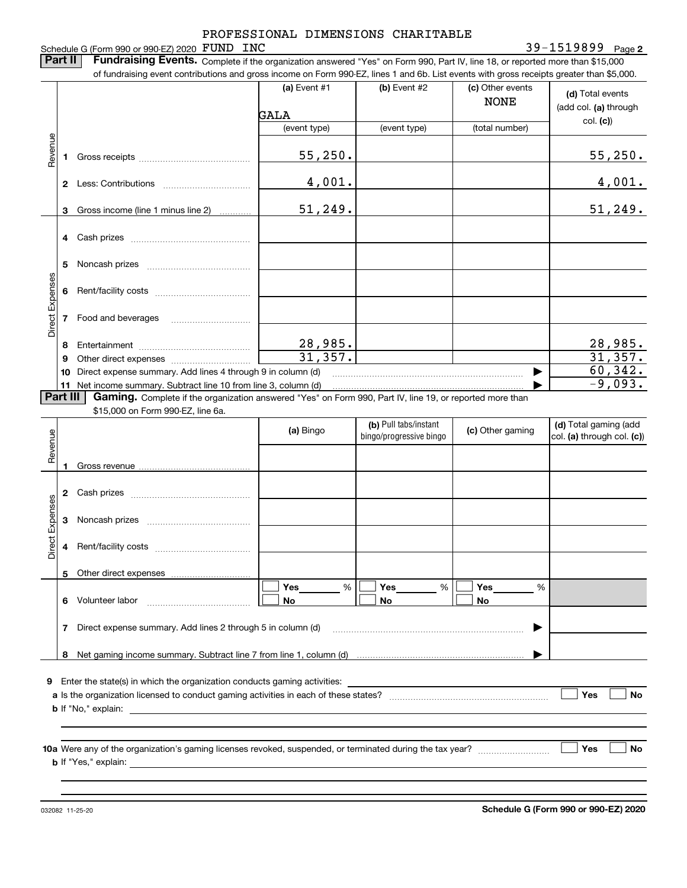Schedule G (Form 990 or 990-EZ) 2020 FUND INC

**2** FUND INC 39-1519899

**Part II** | Fundraising Events. Complete if the organization answered "Yes" on Form 990, Part IV, line 18, or reported more than \$15,000 of fundraising event contributions and gross income on Form 990-EZ, lines 1 and 6b. List events with gross receipts greater than \$5,000.

|                 |              | UI TUNUMANI YOO KA GILI DUNINGIDIIS ANG YIOONIG UN TUNIT JJOHAL, IINGS TANG OD. LISE GVGNO WIEN YOOS TOGGIDIS YIGAGI ENAN IDJOOD. |                |                                                  |                                 |                                                     |
|-----------------|--------------|-----------------------------------------------------------------------------------------------------------------------------------|----------------|--------------------------------------------------|---------------------------------|-----------------------------------------------------|
|                 |              |                                                                                                                                   | $(a)$ Event #1 | (b) Event $#2$                                   | (c) Other events<br><b>NONE</b> | (d) Total events<br>(add col. (a) through           |
|                 |              |                                                                                                                                   | GALA           |                                                  |                                 |                                                     |
|                 |              |                                                                                                                                   | (event type)   | (event type)                                     | (total number)                  | col. (c)                                            |
| Revenue         |              |                                                                                                                                   | 55, 250.       |                                                  |                                 | 55,250.                                             |
|                 |              |                                                                                                                                   | 4,001.         |                                                  |                                 | 4,001.                                              |
|                 |              | 3 Gross income (line 1 minus line 2)                                                                                              | 51, 249.       |                                                  |                                 | 51, 249.                                            |
|                 |              |                                                                                                                                   |                |                                                  |                                 |                                                     |
| Direct Expenses | 5.           |                                                                                                                                   |                |                                                  |                                 |                                                     |
|                 | 6            |                                                                                                                                   |                |                                                  |                                 |                                                     |
|                 |              | 7 Food and beverages                                                                                                              |                |                                                  |                                 |                                                     |
|                 | 8            |                                                                                                                                   | 28,985.        |                                                  |                                 | $\frac{28,985.}{31,357.}$                           |
|                 | 9            |                                                                                                                                   | 31,357.        |                                                  |                                 |                                                     |
|                 |              | 10 Direct expense summary. Add lines 4 through 9 in column (d)                                                                    |                |                                                  |                                 | 60, 342.                                            |
|                 |              | 11 Net income summary. Subtract line 10 from line 3, column (d)                                                                   |                |                                                  |                                 | $-9,093.$                                           |
|                 | Part III     | Gaming. Complete if the organization answered "Yes" on Form 990, Part IV, line 19, or reported more than                          |                |                                                  |                                 |                                                     |
|                 |              | \$15,000 on Form 990-EZ, line 6a.                                                                                                 |                |                                                  |                                 |                                                     |
|                 |              |                                                                                                                                   | (a) Bingo      | (b) Pull tabs/instant<br>bingo/progressive bingo | (c) Other gaming                | (d) Total gaming (add<br>col. (a) through col. (c)) |
| Revenue         |              |                                                                                                                                   |                |                                                  |                                 |                                                     |
|                 |              |                                                                                                                                   |                |                                                  |                                 |                                                     |
|                 |              |                                                                                                                                   |                |                                                  |                                 |                                                     |
| Direct Expenses | $\mathbf{3}$ |                                                                                                                                   |                |                                                  |                                 |                                                     |
|                 | 4            |                                                                                                                                   |                |                                                  |                                 |                                                     |
|                 |              |                                                                                                                                   |                |                                                  |                                 |                                                     |

|                                                                                                                                                                                    | 5. | Other direct expenses                                                                                                                    |                |                |                |     |    |
|------------------------------------------------------------------------------------------------------------------------------------------------------------------------------------|----|------------------------------------------------------------------------------------------------------------------------------------------|----------------|----------------|----------------|-----|----|
|                                                                                                                                                                                    | 6  | Volunteer labor                                                                                                                          | %<br>Yes<br>No | Yes<br>%<br>No | Yes<br>%<br>No |     |    |
|                                                                                                                                                                                    | 7  | Direct expense summary. Add lines 2 through 5 in column (d)                                                                              |                |                |                |     |    |
|                                                                                                                                                                                    | 8  |                                                                                                                                          |                |                |                |     |    |
| Enter the state(s) in which the organization conducts gaming activities:<br>9<br>a Is the organization licensed to conduct gaming activities in each of these states?<br>No<br>Yes |    |                                                                                                                                          |                |                |                |     |    |
|                                                                                                                                                                                    |    | <b>b</b> If "No," explain:                                                                                                               |                |                |                |     |    |
|                                                                                                                                                                                    |    | 10a Were any of the organization's gaming licenses revoked, suspended, or terminated during the tax year?<br><b>b</b> If "Yes," explain: |                |                |                | Yes | No |

032082 11-25-20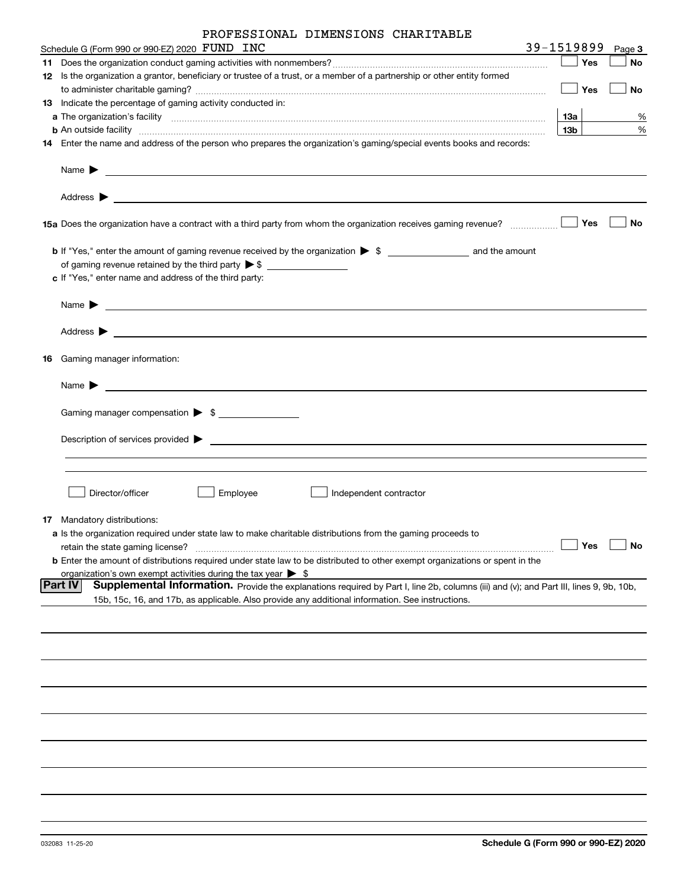| PROFESSIONAL DIMENSIONS CHARITABLE |  |  |
|------------------------------------|--|--|
|------------------------------------|--|--|

| Schedule G (Form 990 or 990-EZ) 2020 FUND INC                                                                                                                                                                                                                                                       | 39-1519899 |      | Page 3    |
|-----------------------------------------------------------------------------------------------------------------------------------------------------------------------------------------------------------------------------------------------------------------------------------------------------|------------|------|-----------|
|                                                                                                                                                                                                                                                                                                     |            | Yes  | <b>No</b> |
| 12 Is the organization a grantor, beneficiary or trustee of a trust, or a member of a partnership or other entity formed                                                                                                                                                                            |            |      |           |
|                                                                                                                                                                                                                                                                                                     |            | Yes  | No        |
| 13 Indicate the percentage of gaming activity conducted in:                                                                                                                                                                                                                                         |            |      |           |
|                                                                                                                                                                                                                                                                                                     | 13a        |      | %         |
| <b>b</b> An outside facility <i>www.communicality www.communicality.communicality www.communicality www.communicality.com</i>                                                                                                                                                                       | 13b        |      | $\%$      |
| 14 Enter the name and address of the person who prepares the organization's gaming/special events books and records:                                                                                                                                                                                |            |      |           |
| Name $\blacktriangleright$<br><u>state and the state of the state of the state of the state of the state of the state of the state of the state of the state of the state of the state of the state of the state of the state of the state of the state of the</u><br>Address $\blacktriangleright$ |            |      |           |
| and the control of the control of the control of the control of the control of the control of the control of the                                                                                                                                                                                    |            | Yes  | No        |
|                                                                                                                                                                                                                                                                                                     |            |      |           |
|                                                                                                                                                                                                                                                                                                     |            |      |           |
| c If "Yes," enter name and address of the third party:                                                                                                                                                                                                                                              |            |      |           |
|                                                                                                                                                                                                                                                                                                     |            |      |           |
| Name $\blacktriangleright$                                                                                                                                                                                                                                                                          |            |      |           |
| Address $\blacktriangleright$<br><u> 1980 - Jan James James Barnett, fransk politik (d. 1980)</u>                                                                                                                                                                                                   |            |      |           |
| 16 Gaming manager information:                                                                                                                                                                                                                                                                      |            |      |           |
| Name $\blacktriangleright$<br><u> 1980 - Jan Alexandri, manazar amerikan bashkar (</u>                                                                                                                                                                                                              |            |      |           |
| Gaming manager compensation > \$                                                                                                                                                                                                                                                                    |            |      |           |
|                                                                                                                                                                                                                                                                                                     |            |      |           |
| Description of services provided ><br><u> Alexandria de la contrada de la contrada de la contrada de la contrada de la contrada de la contrada de la c</u>                                                                                                                                          |            |      |           |
|                                                                                                                                                                                                                                                                                                     |            |      |           |
| Director/officer<br>Employee<br>Independent contractor                                                                                                                                                                                                                                              |            |      |           |
| <b>17</b> Mandatory distributions:                                                                                                                                                                                                                                                                  |            |      |           |
| a Is the organization required under state law to make charitable distributions from the gaming proceeds to                                                                                                                                                                                         |            |      |           |
| retain the state gaming license?                                                                                                                                                                                                                                                                    |            | 」Yes | $\Box$ No |
| <b>b</b> Enter the amount of distributions required under state law to be distributed to other exempt organizations or spent in the                                                                                                                                                                 |            |      |           |
| organization's own exempt activities during the tax year $\triangleright$ \$<br><b>Part IV</b><br>Supplemental Information. Provide the explanations required by Part I, line 2b, columns (iii) and (v); and Part III, lines 9, 9b, 10b,                                                            |            |      |           |
| 15b, 15c, 16, and 17b, as applicable. Also provide any additional information. See instructions.                                                                                                                                                                                                    |            |      |           |
|                                                                                                                                                                                                                                                                                                     |            |      |           |
|                                                                                                                                                                                                                                                                                                     |            |      |           |
|                                                                                                                                                                                                                                                                                                     |            |      |           |
|                                                                                                                                                                                                                                                                                                     |            |      |           |
|                                                                                                                                                                                                                                                                                                     |            |      |           |
|                                                                                                                                                                                                                                                                                                     |            |      |           |
|                                                                                                                                                                                                                                                                                                     |            |      |           |
|                                                                                                                                                                                                                                                                                                     |            |      |           |
|                                                                                                                                                                                                                                                                                                     |            |      |           |
|                                                                                                                                                                                                                                                                                                     |            |      |           |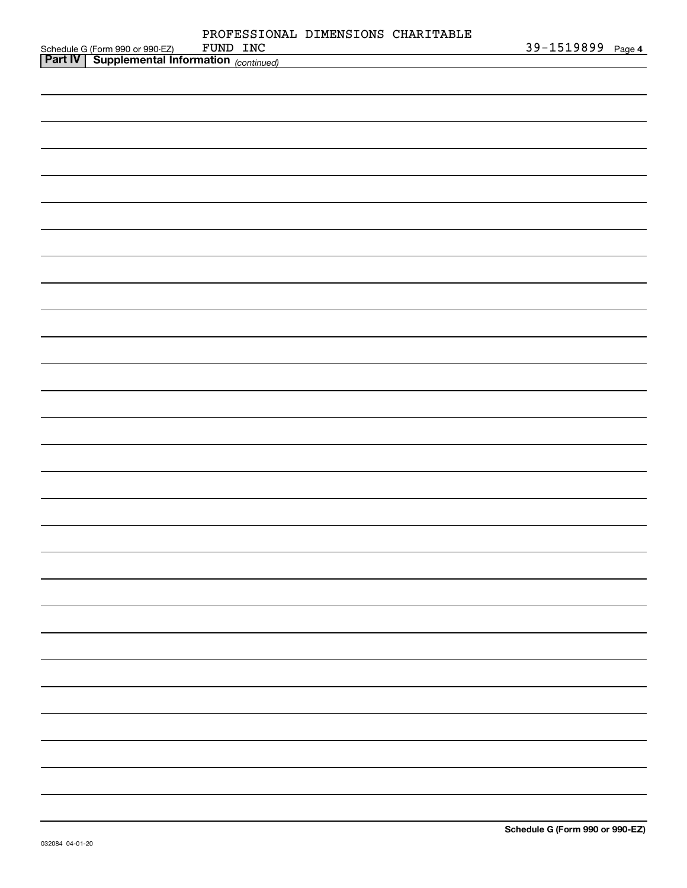|                                                                                          | PROFESSIONAL DIMENSIONS CHARITABLE<br>FUND INC |  | 39-1519899 Page 4 |
|------------------------------------------------------------------------------------------|------------------------------------------------|--|-------------------|
| Schedule G (Form 990 or 990-EZ) FUND INC<br>Part IV Supplemental Information (continued) |                                                |  |                   |
|                                                                                          |                                                |  |                   |
|                                                                                          |                                                |  |                   |
|                                                                                          |                                                |  |                   |
|                                                                                          |                                                |  |                   |
|                                                                                          |                                                |  |                   |
|                                                                                          |                                                |  |                   |
|                                                                                          |                                                |  |                   |
|                                                                                          |                                                |  |                   |
|                                                                                          |                                                |  |                   |
|                                                                                          |                                                |  |                   |
|                                                                                          |                                                |  |                   |
|                                                                                          |                                                |  |                   |
|                                                                                          |                                                |  |                   |
|                                                                                          |                                                |  |                   |
|                                                                                          |                                                |  |                   |
|                                                                                          |                                                |  |                   |
|                                                                                          |                                                |  |                   |
|                                                                                          |                                                |  |                   |
|                                                                                          |                                                |  |                   |
|                                                                                          |                                                |  |                   |
|                                                                                          |                                                |  |                   |
|                                                                                          |                                                |  |                   |
|                                                                                          |                                                |  |                   |
|                                                                                          |                                                |  |                   |
|                                                                                          |                                                |  |                   |
|                                                                                          |                                                |  |                   |
|                                                                                          |                                                |  |                   |
|                                                                                          |                                                |  |                   |
|                                                                                          |                                                |  |                   |
|                                                                                          |                                                |  |                   |
|                                                                                          |                                                |  |                   |
|                                                                                          |                                                |  |                   |
|                                                                                          |                                                |  |                   |
|                                                                                          |                                                |  |                   |
|                                                                                          |                                                |  |                   |
|                                                                                          |                                                |  |                   |
|                                                                                          |                                                |  |                   |
|                                                                                          |                                                |  |                   |
|                                                                                          |                                                |  |                   |
|                                                                                          |                                                |  |                   |
|                                                                                          |                                                |  |                   |
|                                                                                          |                                                |  |                   |
|                                                                                          |                                                |  |                   |
|                                                                                          |                                                |  |                   |
|                                                                                          |                                                |  |                   |
|                                                                                          |                                                |  |                   |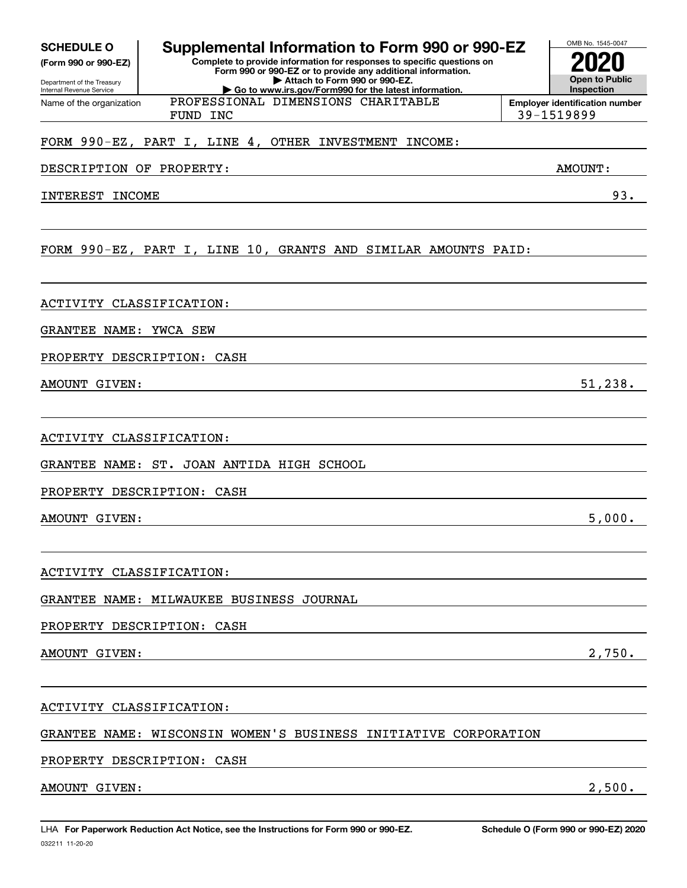| <b>SCHEDULE O</b> |  |  |  |
|-------------------|--|--|--|
|                   |  |  |  |

**(Form 990 or 990-EZ)**

Department of the Treasury Internal Revenue Service Name of the organization

## **Supplemental Information to Form 990 or 990-EZ**

**Complete to provide information for responses to specific questions on Form 990 or 990-EZ or to provide any additional information. | Attach to Form 990 or 990-EZ. | Go to www.irs.gov/Form990 for the latest information.**

PROFESSIONAL DIMENSIONS CHARITABLE

### FORM 990-EZ, PART I, LINE 4, OTHER INVESTMENT INCOME:

DESCRIPTION OF PROPERTY: AMOUNT:

INTEREST INCOME 33.

### FORM 990-EZ, PART I, LINE 10, GRANTS AND SIMILAR AMOUNTS PAID:

ACTIVITY CLASSIFICATION:

GRANTEE NAME: YWCA SEW

PROPERTY DESCRIPTION: CASH

AMOUNT GIVEN: 51,238.

ACTIVITY CLASSIFICATION:

GRANTEE NAME: ST. JOAN ANTIDA HIGH SCHOOL

PROPERTY DESCRIPTION: CASH

AMOUNT GIVEN: 5,000.

ACTIVITY CLASSIFICATION:

GRANTEE NAME: MILWAUKEE BUSINESS JOURNAL

PROPERTY DESCRIPTION: CASH

AMOUNT GIVEN: 2.1990.

ACTIVITY CLASSIFICATION:

GRANTEE NAME: WISCONSIN WOMEN'S BUSINESS INITIATIVE CORPORATION

PROPERTY DESCRIPTION: CASH

AMOUNT GIVEN: 2,500.



FUND INC 39-1519899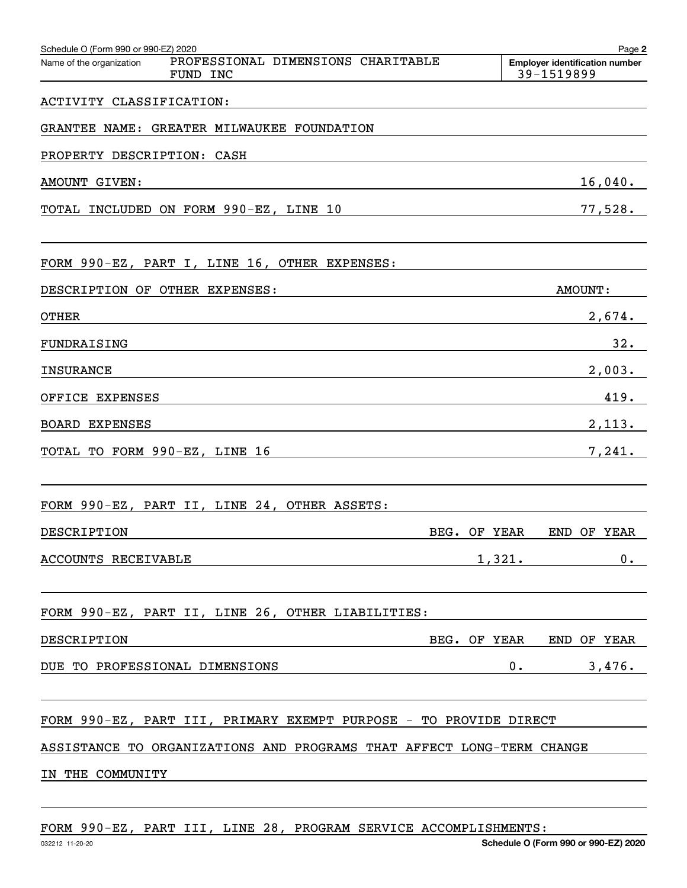| Schedule O (Form 990 or 990-EZ) 2020<br>PROFESSIONAL DIMENSIONS CHARITABLE<br>Name of the organization<br>FUND INC |              | Page 2<br><b>Employer identification number</b><br>39-1519899 |
|--------------------------------------------------------------------------------------------------------------------|--------------|---------------------------------------------------------------|
| ACTIVITY CLASSIFICATION:                                                                                           |              |                                                               |
| GRANTEE NAME: GREATER MILWAUKEE FOUNDATION                                                                         |              |                                                               |
| PROPERTY DESCRIPTION: CASH                                                                                         |              |                                                               |
| AMOUNT GIVEN:                                                                                                      |              | $16,040$ .                                                    |
| TOTAL INCLUDED ON FORM 990-EZ, LINE 10                                                                             |              | 77,528.                                                       |
| FORM 990-EZ, PART I, LINE 16, OTHER EXPENSES:                                                                      |              |                                                               |
| DESCRIPTION OF OTHER EXPENSES:                                                                                     |              | <b>AMOUNT:</b>                                                |
| <b>OTHER</b>                                                                                                       |              | 2,674.                                                        |
| FUNDRAISING                                                                                                        |              | 32.                                                           |
| <b>INSURANCE</b>                                                                                                   |              | 2,003.                                                        |
| OFFICE EXPENSES                                                                                                    |              | 419.                                                          |
| <b>BOARD EXPENSES</b>                                                                                              |              | 2,113.                                                        |
| TOTAL TO FORM 990-EZ, LINE 16                                                                                      |              | 7,241.                                                        |
| FORM 990-EZ, PART II, LINE 24, OTHER ASSETS:                                                                       |              |                                                               |
| DESCRIPTION                                                                                                        | BEG. OF YEAR | END OF YEAR                                                   |
| ACCOUNTS RECEIVABLE                                                                                                |              | 1,321.<br>0.                                                  |
| FORM 990-EZ, PART II, LINE 26, OTHER LIABILITIES:                                                                  |              |                                                               |
| DESCRIPTION                                                                                                        |              | BEG. OF YEAR END OF YEAR                                      |
| DUE TO PROFESSIONAL DIMENSIONS                                                                                     |              | 0.<br>3,476.                                                  |
| FORM 990-EZ, PART III, PRIMARY EXEMPT PURPOSE - TO PROVIDE DIRECT                                                  |              |                                                               |
| ASSISTANCE TO ORGANIZATIONS AND PROGRAMS THAT AFFECT LONG-TERM CHANGE                                              |              |                                                               |
| IN THE COMMUNITY                                                                                                   |              |                                                               |
|                                                                                                                    |              |                                                               |

FORM 990-EZ, PART III, LINE 28, PROGRAM SERVICE ACCOMPLISHMENTS: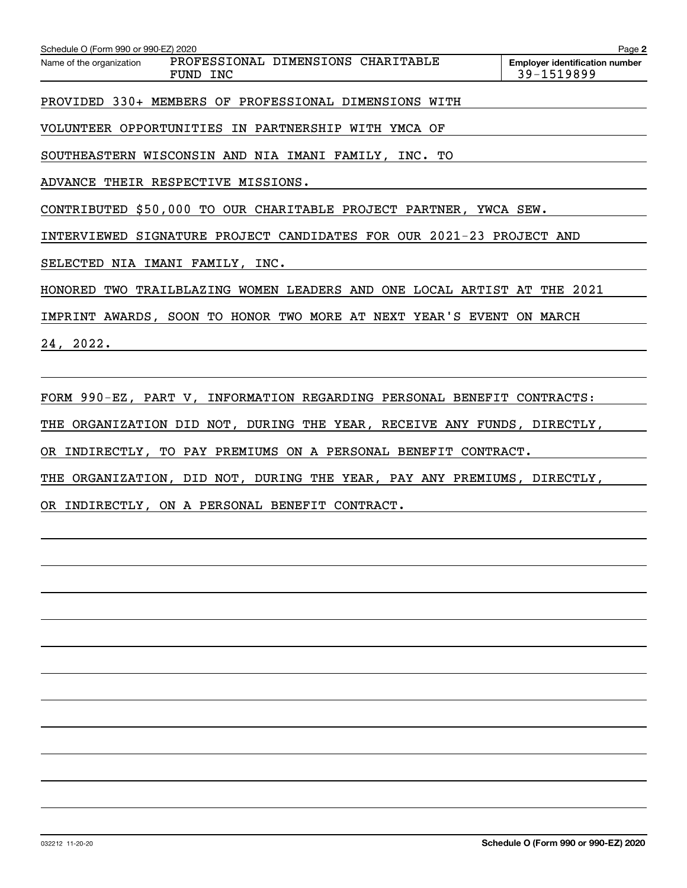| Schedule O (Form 990 or 990-EZ) 2020                                       | Page 2                                              |
|----------------------------------------------------------------------------|-----------------------------------------------------|
| PROFESSIONAL DIMENSIONS CHARITABLE<br>Name of the organization<br>FUND INC | <b>Employer identification number</b><br>39-1519899 |
| PROVIDED 330+ MEMBERS OF PROFESSIONAL DIMENSIONS WITH                      |                                                     |
| VOLUNTEER OPPORTUNITIES IN PARTNERSHIP WITH YMCA OF                        |                                                     |
| SOUTHEASTERN WISCONSIN AND NIA IMANI FAMILY, INC. TO                       |                                                     |
| ADVANCE THEIR RESPECTIVE MISSIONS.                                         |                                                     |
| CONTRIBUTED \$50,000 TO OUR CHARITABLE PROJECT PARTNER, YWCA SEW.          |                                                     |
| INTERVIEWED SIGNATURE PROJECT CANDIDATES FOR OUR 2021-23 PROJECT AND       |                                                     |
| SELECTED NIA IMANI FAMILY, INC.                                            |                                                     |
| HONORED TWO TRAILBLAZING WOMEN LEADERS AND ONE LOCAL ARTIST AT THE 2021    |                                                     |
| IMPRINT AWARDS, SOON TO HONOR TWO MORE AT NEXT YEAR'S EVENT ON MARCH       |                                                     |
| 24, 2022.                                                                  |                                                     |
|                                                                            |                                                     |
| FORM 990-EZ, PART V, INFORMATION REGARDING PERSONAL BENEFIT CONTRACTS:     |                                                     |
| THE ORGANIZATION DID NOT, DURING THE YEAR, RECEIVE ANY FUNDS, DIRECTLY,    |                                                     |
| OR INDIRECTLY, TO PAY PREMIUMS ON A PERSONAL BENEFIT CONTRACT.             |                                                     |

THE ORGANIZATION, DID NOT, DURING THE YEAR, PAY ANY PREMIUMS, DIRECTLY,

OR INDIRECTLY, ON A PERSONAL BENEFIT CONTRACT.